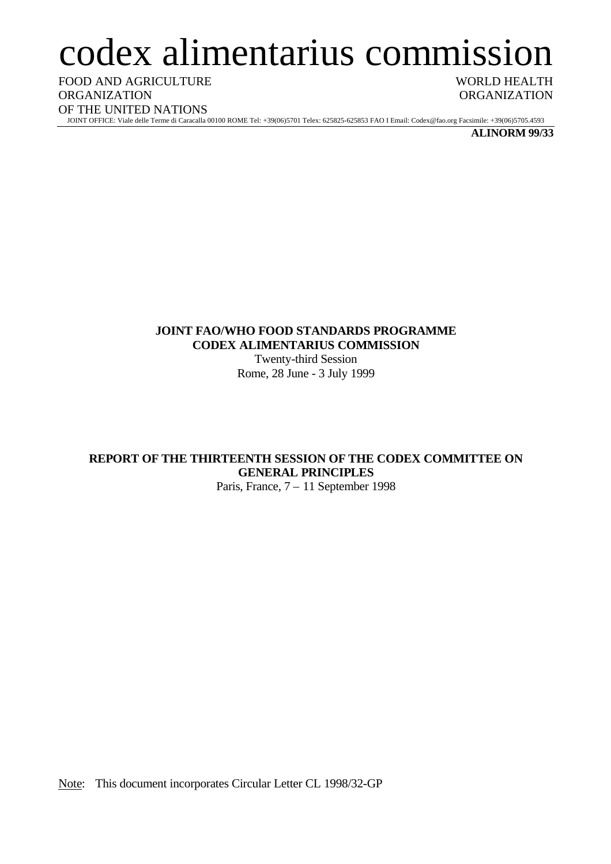# codex alimentarius commission

FOOD AND AGRICULTURE **ORGANIZATION** OF THE UNITED NATIONS

WORLD HEALTH **ORGANIZATION** 

JOINT OFFICE: Viale delle Terme di Caracalla 00100 ROME Tel: +39(06)5701 Telex: 625825-625853 FAO I Email: Codex@fao.org Facsimile: +39(06)5705.4593

**ALINORM 99/33**

# **JOINT FAO/WHO FOOD STANDARDS PROGRAMME CODEX ALIMENTARIUS COMMISSION**

Twenty-third Session Rome, 28 June - 3 July 1999

# **REPORT OF THE THIRTEENTH SESSION OF THE CODEX COMMITTEE ON GENERAL PRINCIPLES**

Paris, France, 7 – 11 September 1998

Note: This document incorporates Circular Letter CL 1998/32-GP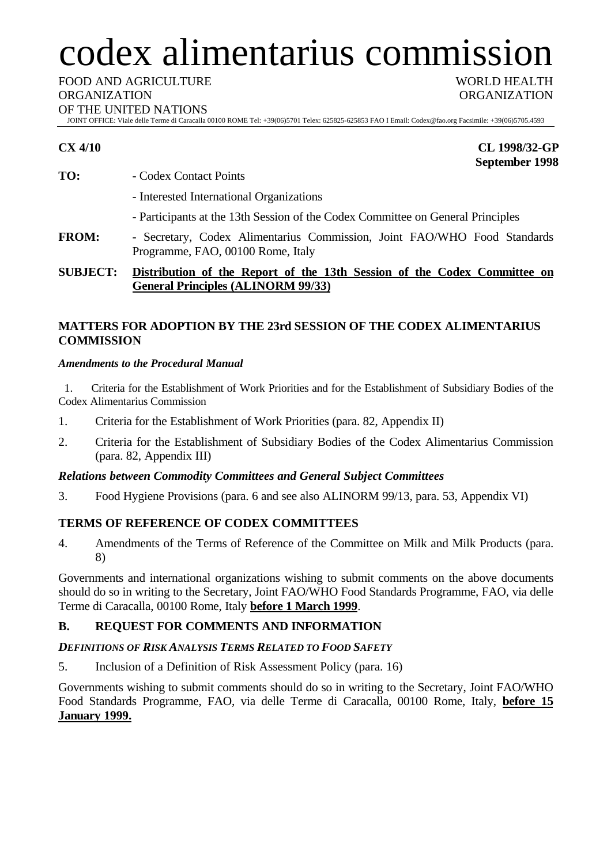# codex alimentarius commission

FOOD AND AGRICULTURE

#### ORGANIZATION

OF THE UNITED NATIONS

JOINT OFFICE: Viale delle Terme di Caracalla 00100 ROME Tel: +39(06)5701 Telex: 625825-625853 FAO I Email: Codex@fao.org Facsimile: +39(06)5705.4593

**CX 4/10 CL 1998/32-GP September 1998**

WORLD HEALTH ORGANIZATION

- **TO:** Codex Contact Points
	- Interested International Organizations
	- Participants at the 13th Session of the Codex Committee on General Principles
- **FROM:** Secretary, Codex Alimentarius Commission, Joint FAO/WHO Food Standards Programme, FAO, 00100 Rome, Italy

# **SUBJECT: Distribution of the Report of the 13th Session of the Codex Committee on General Principles (ALINORM 99/33)**

# **MATTERS FOR ADOPTION BY THE 23rd SESSION OF THE CODEX ALIMENTARIUS COMMISSION**

# *Amendments to the Procedural Manual*

1. Criteria for the Establishment of Work Priorities and for the Establishment of Subsidiary Bodies of the Codex Alimentarius Commission

- 1. Criteria for the Establishment of Work Priorities (para. 82, Appendix II)
- 2. Criteria for the Establishment of Subsidiary Bodies of the Codex Alimentarius Commission (para. 82, Appendix III)

# *Relations between Commodity Committees and General Subject Committees*

3. Food Hygiene Provisions (para. 6 and see also ALINORM 99/13, para. 53, Appendix VI)

# **TERMS OF REFERENCE OF CODEX COMMITTEES**

4. Amendments of the Terms of Reference of the Committee on Milk and Milk Products (para. 8)

Governments and international organizations wishing to submit comments on the above documents should do so in writing to the Secretary, Joint FAO/WHO Food Standards Programme, FAO, via delle Terme di Caracalla, 00100 Rome, Italy **before 1 March 1999**.

# **B. REQUEST FOR COMMENTS AND INFORMATION**

# *DEFINITIONS OF RISK ANALYSIS TERMS RELATED TO FOOD SAFETY*

5. Inclusion of a Definition of Risk Assessment Policy (para. 16)

Governments wishing to submit comments should do so in writing to the Secretary, Joint FAO/WHO Food Standards Programme, FAO, via delle Terme di Caracalla, 00100 Rome, Italy, **before 15 January 1999.**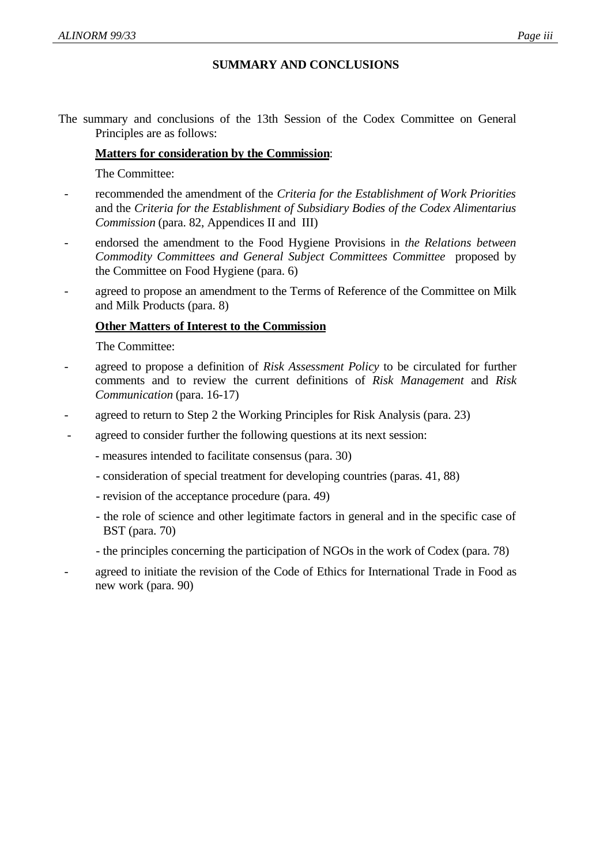# **SUMMARY AND CONCLUSIONS**

The summary and conclusions of the 13th Session of the Codex Committee on General Principles are as follows:

# **Matters for consideration by the Commission**:

The Committee:

- recommended the amendment of the *Criteria for the Establishment of Work Priorities* and the *Criteria for the Establishment of Subsidiary Bodies of the Codex Alimentarius Commission* (para. 82, Appendices II and III)
- endorsed the amendment to the Food Hygiene Provisions in *the Relations between Commodity Committees and General Subject Committees Committee* proposed by the Committee on Food Hygiene (para. 6)
- agreed to propose an amendment to the Terms of Reference of the Committee on Milk and Milk Products (para. 8)

# **Other Matters of Interest to the Commission**

The Committee:

- agreed to propose a definition of *Risk Assessment Policy* to be circulated for further comments and to review the current definitions of *Risk Management* and *Risk Communication* (para. 16-17)
- agreed to return to Step 2 the Working Principles for Risk Analysis (para. 23)
- agreed to consider further the following questions at its next session:
	- measures intended to facilitate consensus (para. 30)
	- consideration of special treatment for developing countries (paras. 41, 88)
	- revision of the acceptance procedure (para. 49)
	- the role of science and other legitimate factors in general and in the specific case of BST (para. 70)
	- the principles concerning the participation of NGOs in the work of Codex (para. 78)
- agreed to initiate the revision of the Code of Ethics for International Trade in Food as new work (para. 90)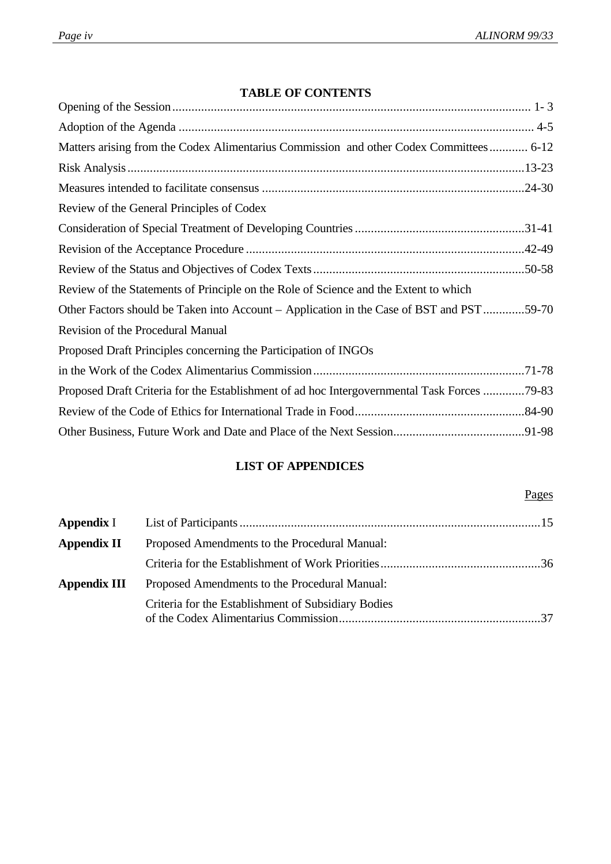# **TABLE OF CONTENTS**

| Matters arising from the Codex Alimentarius Commission and other Codex Committees 6-12      |
|---------------------------------------------------------------------------------------------|
|                                                                                             |
|                                                                                             |
| Review of the General Principles of Codex                                                   |
|                                                                                             |
|                                                                                             |
|                                                                                             |
| Review of the Statements of Principle on the Role of Science and the Extent to which        |
| Other Factors should be Taken into Account – Application in the Case of BST and PST59-70    |
| Revision of the Procedural Manual                                                           |
| Proposed Draft Principles concerning the Participation of INGOs                             |
|                                                                                             |
| Proposed Draft Criteria for the Establishment of ad hoc Intergovernmental Task Forces 79-83 |
|                                                                                             |
|                                                                                             |

# **LIST OF APPENDICES**

# Pages

| Appendix I                                                          |                                                     |  |  |  |
|---------------------------------------------------------------------|-----------------------------------------------------|--|--|--|
| <b>Appendix II</b><br>Proposed Amendments to the Procedural Manual: |                                                     |  |  |  |
|                                                                     |                                                     |  |  |  |
| Appendix III                                                        | Proposed Amendments to the Procedural Manual:       |  |  |  |
|                                                                     | Criteria for the Establishment of Subsidiary Bodies |  |  |  |
|                                                                     |                                                     |  |  |  |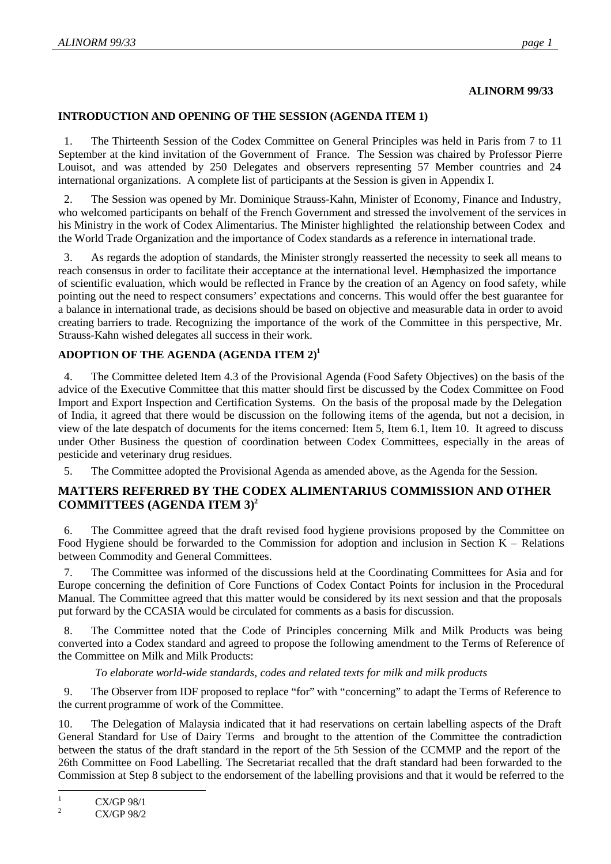# **ALINORM 99/33**

#### **INTRODUCTION AND OPENING OF THE SESSION (AGENDA ITEM 1)**

1. The Thirteenth Session of the Codex Committee on General Principles was held in Paris from 7 to 11 September at the kind invitation of the Government of France. The Session was chaired by Professor Pierre Louisot, and was attended by 250 Delegates and observers representing 57 Member countries and 24 international organizations. A complete list of participants at the Session is given in Appendix I.

2. The Session was opened by Mr. Dominique Strauss-Kahn, Minister of Economy, Finance and Industry, who welcomed participants on behalf of the French Government and stressed the involvement of the services in his Ministry in the work of Codex Alimentarius. The Minister highlighted the relationship between Codex and the World Trade Organization and the importance of Codex standards as a reference in international trade.

3. As regards the adoption of standards, the Minister strongly reasserted the necessity to seek all means to reach consensus in order to facilitate their acceptance at the international level. Hemphasized the importance of scientific evaluation, which would be reflected in France by the creation of an Agency on food safety, while pointing out the need to respect consumers' expectations and concerns. This would offer the best guarantee for a balance in international trade, as decisions should be based on objective and measurable data in order to avoid creating barriers to trade. Recognizing the importance of the work of the Committee in this perspective, Mr. Strauss-Kahn wished delegates all success in their work.

# **ADOPTION OF THE AGENDA (AGENDA ITEM 2)<sup>1</sup>**

4. The Committee deleted Item 4.3 of the Provisional Agenda (Food Safety Objectives) on the basis of the advice of the Executive Committee that this matter should first be discussed by the Codex Committee on Food Import and Export Inspection and Certification Systems. On the basis of the proposal made by the Delegation of India, it agreed that there would be discussion on the following items of the agenda, but not a decision, in view of the late despatch of documents for the items concerned: Item 5, Item 6.1, Item 10. It agreed to discuss under Other Business the question of coordination between Codex Committees, especially in the areas of pesticide and veterinary drug residues.

5. The Committee adopted the Provisional Agenda as amended above, as the Agenda for the Session.

# **MATTERS REFERRED BY THE CODEX ALIMENTARIUS COMMISSION AND OTHER COMMITTEES (AGENDA ITEM 3)<sup>2</sup>**

6. The Committee agreed that the draft revised food hygiene provisions proposed by the Committee on Food Hygiene should be forwarded to the Commission for adoption and inclusion in Section K – Relations between Commodity and General Committees.

7. The Committee was informed of the discussions held at the Coordinating Committees for Asia and for Europe concerning the definition of Core Functions of Codex Contact Points for inclusion in the Procedural Manual. The Committee agreed that this matter would be considered by its next session and that the proposals put forward by the CCASIA would be circulated for comments as a basis for discussion.

8. The Committee noted that the Code of Principles concerning Milk and Milk Products was being converted into a Codex standard and agreed to propose the following amendment to the Terms of Reference of the Committee on Milk and Milk Products:

*To elaborate world-wide standards, codes and related texts for milk and milk products*

9. The Observer from IDF proposed to replace "for" with "concerning" to adapt the Terms of Reference to the current programme of work of the Committee.

10. The Delegation of Malaysia indicated that it had reservations on certain labelling aspects of the Draft General Standard for Use of Dairy Terms and brought to the attention of the Committee the contradiction between the status of the draft standard in the report of the 5th Session of the CCMMP and the report of the 26th Committee on Food Labelling. The Secretariat recalled that the draft standard had been forwarded to the Commission at Step 8 subject to the endorsement of the labelling provisions and that it would be referred to the

 $\mathbf{1}$  $\frac{1}{2}$  CX/GP 98/1

<sup>2</sup> CX/GP 98/2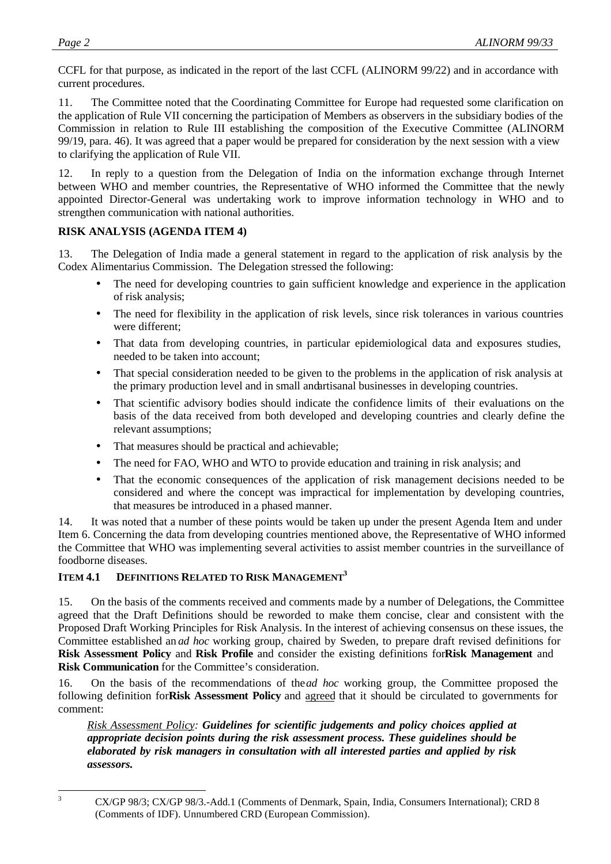CCFL for that purpose, as indicated in the report of the last CCFL (ALINORM 99/22) and in accordance with current procedures.

11. The Committee noted that the Coordinating Committee for Europe had requested some clarification on the application of Rule VII concerning the participation of Members as observers in the subsidiary bodies of the Commission in relation to Rule III establishing the composition of the Executive Committee (ALINORM 99/19, para. 46). It was agreed that a paper would be prepared for consideration by the next session with a view to clarifying the application of Rule VII.

12. In reply to a question from the Delegation of India on the information exchange through Internet between WHO and member countries, the Representative of WHO informed the Committee that the newly appointed Director-General was undertaking work to improve information technology in WHO and to strengthen communication with national authorities.

#### **RISK ANALYSIS (AGENDA ITEM 4)**

13. The Delegation of India made a general statement in regard to the application of risk analysis by the Codex Alimentarius Commission. The Delegation stressed the following:

- The need for developing countries to gain sufficient knowledge and experience in the application of risk analysis;
- The need for flexibility in the application of risk levels, since risk tolerances in various countries were different;
- That data from developing countries, in particular epidemiological data and exposures studies, needed to be taken into account;
- That special consideration needed to be given to the problems in the application of risk analysis at the primary production level and in small and artisanal businesses in developing countries.
- That scientific advisory bodies should indicate the confidence limits of their evaluations on the basis of the data received from both developed and developing countries and clearly define the relevant assumptions;
- That measures should be practical and achievable;
- The need for FAO, WHO and WTO to provide education and training in risk analysis; and
- That the economic consequences of the application of risk management decisions needed to be considered and where the concept was impractical for implementation by developing countries, that measures be introduced in a phased manner.

14. It was noted that a number of these points would be taken up under the present Agenda Item and under Item 6. Concerning the data from developing countries mentioned above, the Representative of WHO informed the Committee that WHO was implementing several activities to assist member countries in the surveillance of foodborne diseases.

# **ITEM 4.1 DEFINITIONS RELATED TO RISK MANAGEMENT<sup>3</sup>**

15. On the basis of the comments received and comments made by a number of Delegations, the Committee agreed that the Draft Definitions should be reworded to make them concise, clear and consistent with the Proposed Draft Working Principles for Risk Analysis. In the interest of achieving consensus on these issues, the Committee established an *ad hoc* working group, chaired by Sweden, to prepare draft revised definitions for **Risk Assessment Policy** and **Risk Profile** and consider the existing definitions for**Risk Management** and **Risk Communication** for the Committee's consideration.

16. On the basis of the recommendations of the*ad hoc* working group, the Committee proposed the following definition for**Risk Assessment Policy** and agreed that it should be circulated to governments for comment:

*Risk Assessment Policy: Guidelines for scientific judgements and policy choices applied at appropriate decision points during the risk assessment process. These guidelines should be elaborated by risk managers in consultation with all interested parties and applied by risk assessors.*

 $\overline{3}$ 

<sup>3</sup> CX/GP 98/3; CX/GP 98/3.-Add.1 (Comments of Denmark, Spain, India, Consumers International); CRD 8 (Comments of IDF). Unnumbered CRD (European Commission).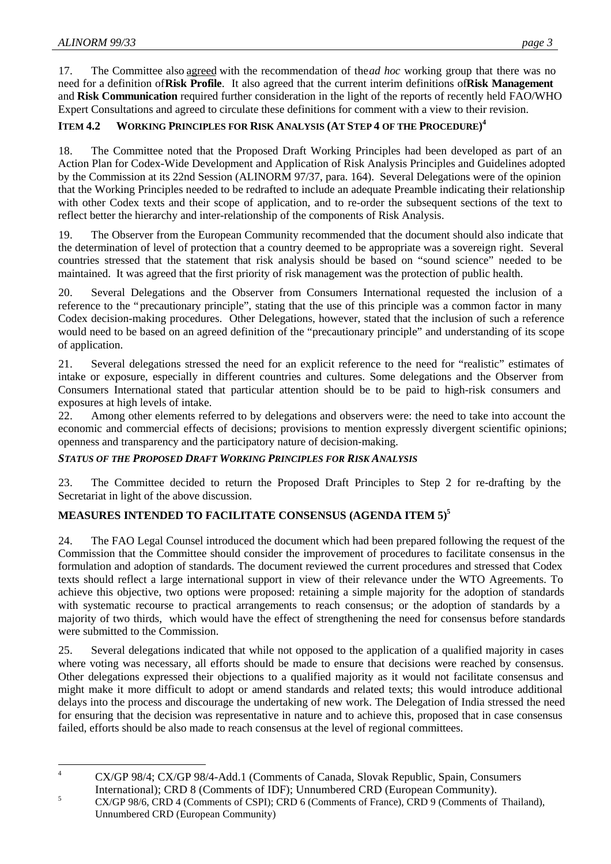17. The Committee also agreed with the recommendation of the *ad hoc* working group that there was no need for a definition of **Risk Profile**. It also agreed that the current interim definitions of **Risk Management** and **Risk Communication** required further consideration in the light of the reports of recently held FAO/WHO Expert Consultations and agreed to circulate these definitions for comment with a view to their revision.

# **ITEM 4.2 WORKING PRINCIPLES FOR RISK ANALYSIS (AT STEP 4 OF THE PROCEDURE) 4**

18. The Committee noted that the Proposed Draft Working Principles had been developed as part of an Action Plan for Codex-Wide Development and Application of Risk Analysis Principles and Guidelines adopted by the Commission at its 22nd Session (ALINORM 97/37, para. 164). Several Delegations were of the opinion that the Working Principles needed to be redrafted to include an adequate Preamble indicating their relationship with other Codex texts and their scope of application, and to re-order the subsequent sections of the text to reflect better the hierarchy and inter-relationship of the components of Risk Analysis.

19. The Observer from the European Community recommended that the document should also indicate that the determination of level of protection that a country deemed to be appropriate was a sovereign right. Several countries stressed that the statement that risk analysis should be based on "sound science" needed to be maintained. It was agreed that the first priority of risk management was the protection of public health.

20. Several Delegations and the Observer from Consumers International requested the inclusion of a reference to the "precautionary principle", stating that the use of this principle was a common factor in many Codex decision-making procedures. Other Delegations, however, stated that the inclusion of such a reference would need to be based on an agreed definition of the "precautionary principle" and understanding of its scope of application.

21. Several delegations stressed the need for an explicit reference to the need for "realistic" estimates of intake or exposure, especially in different countries and cultures. Some delegations and the Observer from Consumers International stated that particular attention should be to be paid to high-risk consumers and exposures at high levels of intake.

22. Among other elements referred to by delegations and observers were: the need to take into account the economic and commercial effects of decisions; provisions to mention expressly divergent scientific opinions; openness and transparency and the participatory nature of decision-making.

# *STATUS OF THE PROPOSED DRAFT WORKING PRINCIPLES FOR RISK ANALYSIS*

23. The Committee decided to return the Proposed Draft Principles to Step 2 for re-drafting by the Secretariat in light of the above discussion.

# **MEASURES INTENDED TO FACILITATE CONSENSUS (AGENDA ITEM 5)<sup>5</sup>**

24. The FAO Legal Counsel introduced the document which had been prepared following the request of the Commission that the Committee should consider the improvement of procedures to facilitate consensus in the formulation and adoption of standards. The document reviewed the current procedures and stressed that Codex texts should reflect a large international support in view of their relevance under the WTO Agreements. To achieve this objective, two options were proposed: retaining a simple majority for the adoption of standards with systematic recourse to practical arrangements to reach consensus; or the adoption of standards by a majority of two thirds, which would have the effect of strengthening the need for consensus before standards were submitted to the Commission.

25. Several delegations indicated that while not opposed to the application of a qualified majority in cases where voting was necessary, all efforts should be made to ensure that decisions were reached by consensus. Other delegations expressed their objections to a qualified majority as it would not facilitate consensus and might make it more difficult to adopt or amend standards and related texts; this would introduce additional delays into the process and discourage the undertaking of new work. The Delegation of India stressed the need for ensuring that the decision was representative in nature and to achieve this, proposed that in case consensus failed, efforts should be also made to reach consensus at the level of regional committees.

 $\overline{A}$ <sup>4</sup> CX/GP 98/4; CX/GP 98/4-Add.1 (Comments of Canada, Slovak Republic, Spain, Consumers International); CRD 8 (Comments of IDF); Unnumbered CRD (European Community).

<sup>&</sup>lt;sup>5</sup> CX/GP 98/6, CRD 4 (Comments of CSPI); CRD 6 (Comments of France), CRD 9 (Comments of Thailand), Unnumbered CRD (European Community)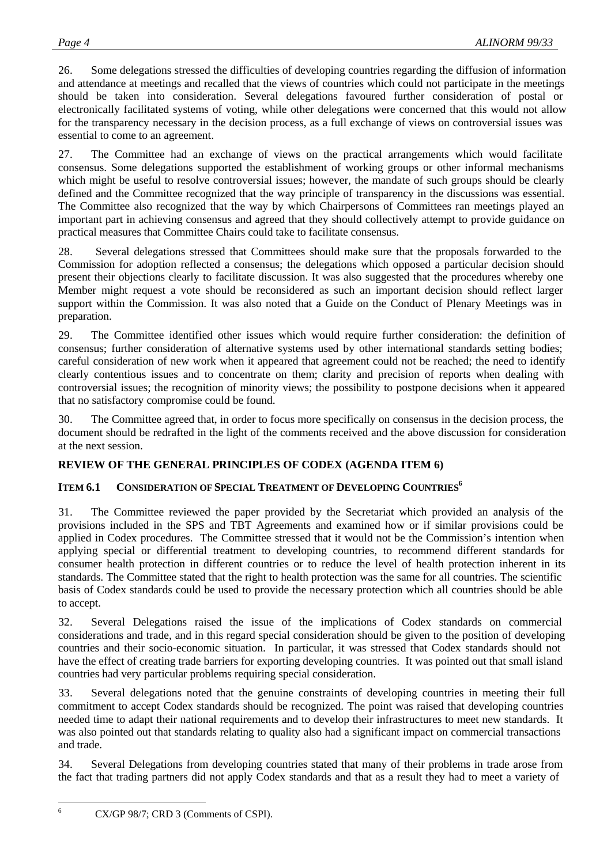26. Some delegations stressed the difficulties of developing countries regarding the diffusion of information and attendance at meetings and recalled that the views of countries which could not participate in the meetings should be taken into consideration. Several delegations favoured further consideration of postal or electronically facilitated systems of voting, while other delegations were concerned that this would not allow for the transparency necessary in the decision process, as a full exchange of views on controversial issues was essential to come to an agreement.

27. The Committee had an exchange of views on the practical arrangements which would facilitate consensus. Some delegations supported the establishment of working groups or other informal mechanisms which might be useful to resolve controversial issues; however, the mandate of such groups should be clearly defined and the Committee recognized that the way principle of transparency in the discussions was essential. The Committee also recognized that the way by which Chairpersons of Committees ran meetings played an important part in achieving consensus and agreed that they should collectively attempt to provide guidance on practical measures that Committee Chairs could take to facilitate consensus.

28. Several delegations stressed that Committees should make sure that the proposals forwarded to the Commission for adoption reflected a consensus; the delegations which opposed a particular decision should present their objections clearly to facilitate discussion. It was also suggested that the procedures whereby one Member might request a vote should be reconsidered as such an important decision should reflect larger support within the Commission. It was also noted that a Guide on the Conduct of Plenary Meetings was in preparation.

29. The Committee identified other issues which would require further consideration: the definition of consensus; further consideration of alternative systems used by other international standards setting bodies; careful consideration of new work when it appeared that agreement could not be reached; the need to identify clearly contentious issues and to concentrate on them; clarity and precision of reports when dealing with controversial issues; the recognition of minority views; the possibility to postpone decisions when it appeared that no satisfactory compromise could be found.

30. The Committee agreed that, in order to focus more specifically on consensus in the decision process, the document should be redrafted in the light of the comments received and the above discussion for consideration at the next session.

# **REVIEW OF THE GENERAL PRINCIPLES OF CODEX (AGENDA ITEM 6)**

# **ITEM 6.1 CONSIDERATION OF SPECIAL TREATMENT OF DEVELOPING COUNTRIES<sup>6</sup>**

31. The Committee reviewed the paper provided by the Secretariat which provided an analysis of the provisions included in the SPS and TBT Agreements and examined how or if similar provisions could be applied in Codex procedures. The Committee stressed that it would not be the Commission's intention when applying special or differential treatment to developing countries, to recommend different standards for consumer health protection in different countries or to reduce the level of health protection inherent in its standards. The Committee stated that the right to health protection was the same for all countries. The scientific basis of Codex standards could be used to provide the necessary protection which all countries should be able to accept.

32. Several Delegations raised the issue of the implications of Codex standards on commercial considerations and trade, and in this regard special consideration should be given to the position of developing countries and their socio-economic situation. In particular, it was stressed that Codex standards should not have the effect of creating trade barriers for exporting developing countries. It was pointed out that small island countries had very particular problems requiring special consideration.

33. Several delegations noted that the genuine constraints of developing countries in meeting their full commitment to accept Codex standards should be recognized. The point was raised that developing countries needed time to adapt their national requirements and to develop their infrastructures to meet new standards. It was also pointed out that standards relating to quality also had a significant impact on commercial transactions and trade.

34. Several Delegations from developing countries stated that many of their problems in trade arose from the fact that trading partners did not apply Codex standards and that as a result they had to meet a variety of

 $6\overline{6}$ 

<sup>6</sup> CX/GP 98/7; CRD 3 (Comments of CSPI).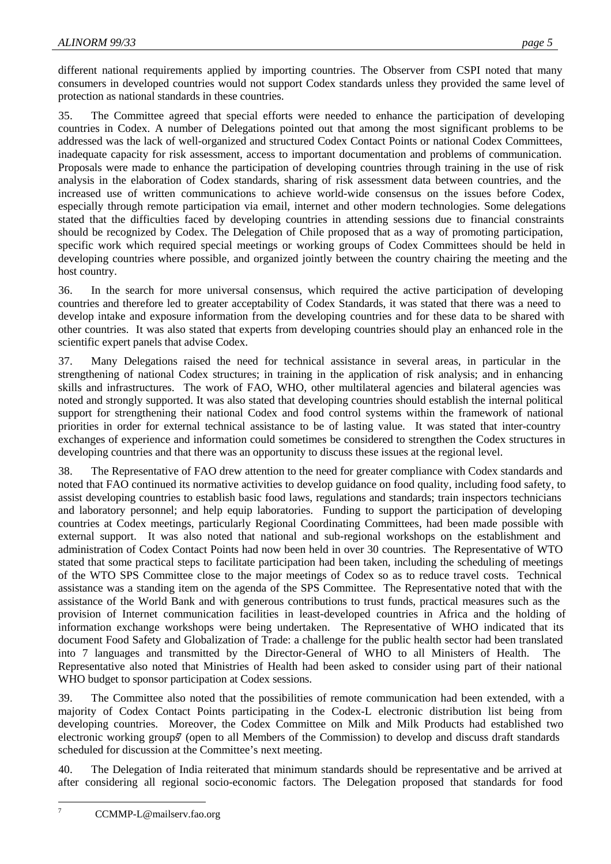different national requirements applied by importing countries. The Observer from CSPI noted that many consumers in developed countries would not support Codex standards unless they provided the same level of protection as national standards in these countries.

35. The Committee agreed that special efforts were needed to enhance the participation of developing countries in Codex. A number of Delegations pointed out that among the most significant problems to be addressed was the lack of well-organized and structured Codex Contact Points or national Codex Committees, inadequate capacity for risk assessment, access to important documentation and problems of communication. Proposals were made to enhance the participation of developing countries through training in the use of risk analysis in the elaboration of Codex standards, sharing of risk assessment data between countries, and the increased use of written communications to achieve world-wide consensus on the issues before Codex, especially through remote participation via email, internet and other modern technologies. Some delegations stated that the difficulties faced by developing countries in attending sessions due to financial constraints should be recognized by Codex. The Delegation of Chile proposed that as a way of promoting participation, specific work which required special meetings or working groups of Codex Committees should be held in developing countries where possible, and organized jointly between the country chairing the meeting and the host country.

36. In the search for more universal consensus, which required the active participation of developing countries and therefore led to greater acceptability of Codex Standards, it was stated that there was a need to develop intake and exposure information from the developing countries and for these data to be shared with other countries. It was also stated that experts from developing countries should play an enhanced role in the scientific expert panels that advise Codex.

37. Many Delegations raised the need for technical assistance in several areas, in particular in the strengthening of national Codex structures; in training in the application of risk analysis; and in enhancing skills and infrastructures. The work of FAO, WHO, other multilateral agencies and bilateral agencies was noted and strongly supported. It was also stated that developing countries should establish the internal political support for strengthening their national Codex and food control systems within the framework of national priorities in order for external technical assistance to be of lasting value. It was stated that inter-country exchanges of experience and information could sometimes be considered to strengthen the Codex structures in developing countries and that there was an opportunity to discuss these issues at the regional level.

38. The Representative of FAO drew attention to the need for greater compliance with Codex standards and noted that FAO continued its normative activities to develop guidance on food quality, including food safety, to assist developing countries to establish basic food laws, regulations and standards; train inspectors technicians and laboratory personnel; and help equip laboratories. Funding to support the participation of developing countries at Codex meetings, particularly Regional Coordinating Committees, had been made possible with external support. It was also noted that national and sub-regional workshops on the establishment and administration of Codex Contact Points had now been held in over 30 countries. The Representative of WTO stated that some practical steps to facilitate participation had been taken, including the scheduling of meetings of the WTO SPS Committee close to the major meetings of Codex so as to reduce travel costs. Technical assistance was a standing item on the agenda of the SPS Committee. The Representative noted that with the assistance of the World Bank and with generous contributions to trust funds, practical measures such as the provision of Internet communication facilities in least-developed countries in Africa and the holding of information exchange workshops were being undertaken. The Representative of WHO indicated that its document Food Safety and Globalization of Trade: a challenge for the public health sector had been translated into 7 languages and transmitted by the Director-General of WHO to all Ministers of Health. The Representative also noted that Ministries of Health had been asked to consider using part of their national WHO budget to sponsor participation at Codex sessions.

39. The Committee also noted that the possibilities of remote communication had been extended, with a majority of Codex Contact Points participating in the Codex-L electronic distribution list being from developing countries. Moreover, the Codex Committee on Milk and Milk Products had established two electronic working groups<sup>7</sup> (open to all Members of the Commission) to develop and discuss draft standards scheduled for discussion at the Committee's next meeting.

40. The Delegation of India reiterated that minimum standards should be representative and be arrived at after considering all regional socio-economic factors. The Delegation proposed that standards for food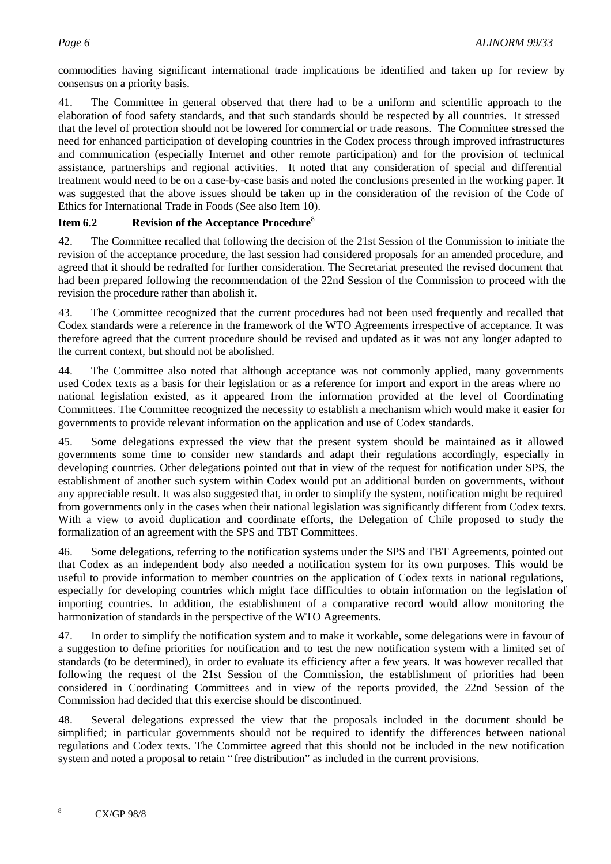commodities having significant international trade implications be identified and taken up for review by consensus on a priority basis.

41. The Committee in general observed that there had to be a uniform and scientific approach to the elaboration of food safety standards, and that such standards should be respected by all countries. It stressed that the level of protection should not be lowered for commercial or trade reasons. The Committee stressed the need for enhanced participation of developing countries in the Codex process through improved infrastructures and communication (especially Internet and other remote participation) and for the provision of technical assistance, partnerships and regional activities. It noted that any consideration of special and differential treatment would need to be on a case-by-case basis and noted the conclusions presented in the working paper. It was suggested that the above issues should be taken up in the consideration of the revision of the Code of Ethics for International Trade in Foods (See also Item 10).

# **Item 6.2 Revision of the Acceptance Procedure**<sup>8</sup>

42. The Committee recalled that following the decision of the 21st Session of the Commission to initiate the revision of the acceptance procedure, the last session had considered proposals for an amended procedure, and agreed that it should be redrafted for further consideration. The Secretariat presented the revised document that had been prepared following the recommendation of the 22nd Session of the Commission to proceed with the revision the procedure rather than abolish it.

43. The Committee recognized that the current procedures had not been used frequently and recalled that Codex standards were a reference in the framework of the WTO Agreements irrespective of acceptance. It was therefore agreed that the current procedure should be revised and updated as it was not any longer adapted to the current context, but should not be abolished.

44. The Committee also noted that although acceptance was not commonly applied, many governments used Codex texts as a basis for their legislation or as a reference for import and export in the areas where no national legislation existed, as it appeared from the information provided at the level of Coordinating Committees. The Committee recognized the necessity to establish a mechanism which would make it easier for governments to provide relevant information on the application and use of Codex standards.

45. Some delegations expressed the view that the present system should be maintained as it allowed governments some time to consider new standards and adapt their regulations accordingly, especially in developing countries. Other delegations pointed out that in view of the request for notification under SPS, the establishment of another such system within Codex would put an additional burden on governments, without any appreciable result. It was also suggested that, in order to simplify the system, notification might be required from governments only in the cases when their national legislation was significantly different from Codex texts. With a view to avoid duplication and coordinate efforts, the Delegation of Chile proposed to study the formalization of an agreement with the SPS and TBT Committees.

46. Some delegations, referring to the notification systems under the SPS and TBT Agreements, pointed out that Codex as an independent body also needed a notification system for its own purposes. This would be useful to provide information to member countries on the application of Codex texts in national regulations, especially for developing countries which might face difficulties to obtain information on the legislation of importing countries. In addition, the establishment of a comparative record would allow monitoring the harmonization of standards in the perspective of the WTO Agreements.

47. In order to simplify the notification system and to make it workable, some delegations were in favour of a suggestion to define priorities for notification and to test the new notification system with a limited set of standards (to be determined), in order to evaluate its efficiency after a few years. It was however recalled that following the request of the 21st Session of the Commission, the establishment of priorities had been considered in Coordinating Committees and in view of the reports provided, the 22nd Session of the Commission had decided that this exercise should be discontinued.

48. Several delegations expressed the view that the proposals included in the document should be simplified; in particular governments should not be required to identify the differences between national regulations and Codex texts. The Committee agreed that this should not be included in the new notification system and noted a proposal to retain "free distribution" as included in the current provisions.

 $\overline{8}$ <sup>8</sup> CX/GP 98/8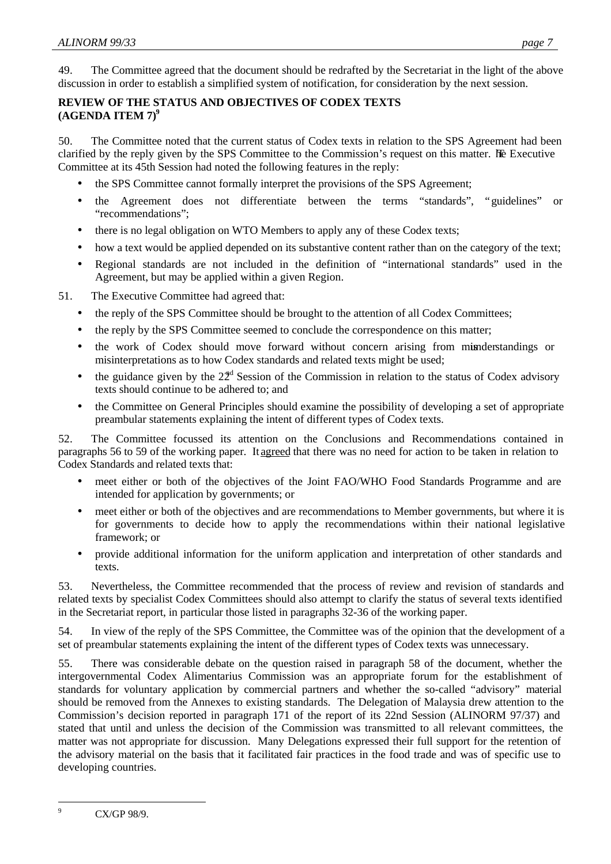49. The Committee agreed that the document should be redrafted by the Secretariat in the light of the above discussion in order to establish a simplified system of notification, for consideration by the next session.

# **REVIEW OF THE STATUS AND OBJECTIVES OF CODEX TEXTS (AGENDA ITEM 7)<sup>9</sup>**

50. The Committee noted that the current status of Codex texts in relation to the SPS Agreement had been clarified by the reply given by the SPS Committee to the Commission's request on this matter. The Executive Committee at its 45th Session had noted the following features in the reply:

- the SPS Committee cannot formally interpret the provisions of the SPS Agreement;
- the Agreement does not differentiate between the terms "standards", "guidelines" or "recommendations";
- there is no legal obligation on WTO Members to apply any of these Codex texts;
- how a text would be applied depended on its substantive content rather than on the category of the text;
- Regional standards are not included in the definition of "international standards" used in the Agreement, but may be applied within a given Region.

51. The Executive Committee had agreed that:

- the reply of the SPS Committee should be brought to the attention of all Codex Committees;
- the reply by the SPS Committee seemed to conclude the correspondence on this matter;
- the work of Codex should move forward without concern arising from minderstandings or misinterpretations as to how Codex standards and related texts might be used;
- the guidance given by the  $22<sup>d</sup>$  Session of the Commission in relation to the status of Codex advisory texts should continue to be adhered to; and
- the Committee on General Principles should examine the possibility of developing a set of appropriate preambular statements explaining the intent of different types of Codex texts.

52. The Committee focussed its attention on the Conclusions and Recommendations contained in paragraphs 56 to 59 of the working paper. It agreed that there was no need for action to be taken in relation to Codex Standards and related texts that:

- meet either or both of the objectives of the Joint FAO/WHO Food Standards Programme and are intended for application by governments; or
- meet either or both of the objectives and are recommendations to Member governments, but where it is for governments to decide how to apply the recommendations within their national legislative framework; or
- provide additional information for the uniform application and interpretation of other standards and texts.

53. Nevertheless, the Committee recommended that the process of review and revision of standards and related texts by specialist Codex Committees should also attempt to clarify the status of several texts identified in the Secretariat report, in particular those listed in paragraphs 32-36 of the working paper.

54. In view of the reply of the SPS Committee, the Committee was of the opinion that the development of a set of preambular statements explaining the intent of the different types of Codex texts was unnecessary.

55. There was considerable debate on the question raised in paragraph 58 of the document, whether the intergovernmental Codex Alimentarius Commission was an appropriate forum for the establishment of standards for voluntary application by commercial partners and whether the so-called "advisory" material should be removed from the Annexes to existing standards. The Delegation of Malaysia drew attention to the Commission's decision reported in paragraph 171 of the report of its 22nd Session (ALINORM 97/37) and stated that until and unless the decision of the Commission was transmitted to all relevant committees, the matter was not appropriate for discussion. Many Delegations expressed their full support for the retention of the advisory material on the basis that it facilitated fair practices in the food trade and was of specific use to developing countries.

 $\overline{9}$ CX/GP 98/9.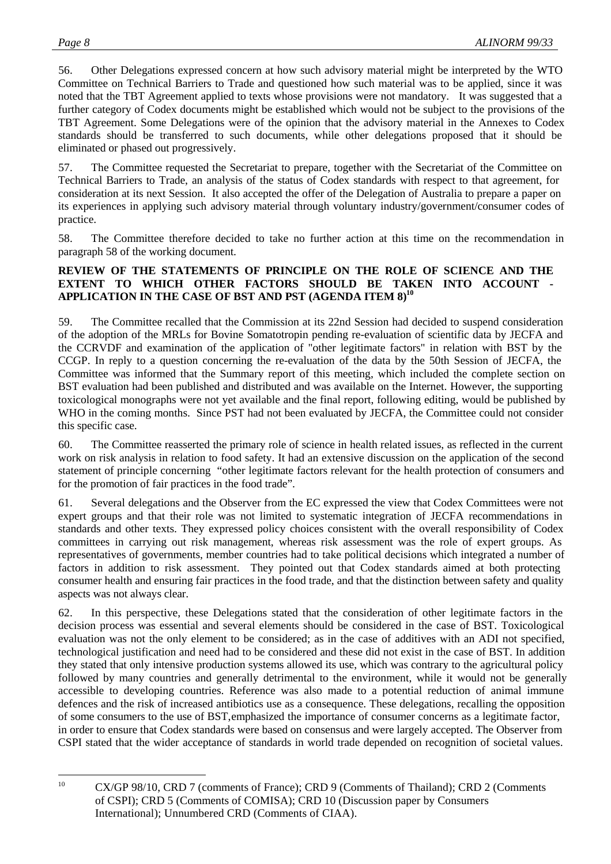56. Other Delegations expressed concern at how such advisory material might be interpreted by the WTO Committee on Technical Barriers to Trade and questioned how such material was to be applied, since it was noted that the TBT Agreement applied to texts whose provisions were not mandatory. It was suggested that a further category of Codex documents might be established which would not be subject to the provisions of the TBT Agreement. Some Delegations were of the opinion that the advisory material in the Annexes to Codex standards should be transferred to such documents, while other delegations proposed that it should be eliminated or phased out progressively.

57. The Committee requested the Secretariat to prepare, together with the Secretariat of the Committee on Technical Barriers to Trade, an analysis of the status of Codex standards with respect to that agreement, for consideration at its next Session. It also accepted the offer of the Delegation of Australia to prepare a paper on its experiences in applying such advisory material through voluntary industry/government/consumer codes of practice.

58. The Committee therefore decided to take no further action at this time on the recommendation in paragraph 58 of the working document.

#### **REVIEW OF THE STATEMENTS OF PRINCIPLE ON THE ROLE OF SCIENCE AND THE EXTENT TO WHICH OTHER FACTORS SHOULD BE TAKEN INTO ACCOUNT - APPLICATION IN THE CASE OF BST AND PST (AGENDA ITEM 8)<sup>10</sup>**

59. The Committee recalled that the Commission at its 22nd Session had decided to suspend consideration of the adoption of the MRLs for Bovine Somatotropin pending re-evaluation of scientific data by JECFA and the CCRVDF and examination of the application of "other legitimate factors" in relation with BST by the CCGP. In reply to a question concerning the re-evaluation of the data by the 50th Session of JECFA, the Committee was informed that the Summary report of this meeting, which included the complete section on BST evaluation had been published and distributed and was available on the Internet. However, the supporting toxicological monographs were not yet available and the final report, following editing, would be published by WHO in the coming months. Since PST had not been evaluated by JECFA, the Committee could not consider this specific case.

60. The Committee reasserted the primary role of science in health related issues, as reflected in the current work on risk analysis in relation to food safety. It had an extensive discussion on the application of the second statement of principle concerning "other legitimate factors relevant for the health protection of consumers and for the promotion of fair practices in the food trade".

61. Several delegations and the Observer from the EC expressed the view that Codex Committees were not expert groups and that their role was not limited to systematic integration of JECFA recommendations in standards and other texts. They expressed policy choices consistent with the overall responsibility of Codex committees in carrying out risk management, whereas risk assessment was the role of expert groups. As representatives of governments, member countries had to take political decisions which integrated a number of factors in addition to risk assessment. They pointed out that Codex standards aimed at both protecting consumer health and ensuring fair practices in the food trade, and that the distinction between safety and quality aspects was not always clear.

62. In this perspective, these Delegations stated that the consideration of other legitimate factors in the decision process was essential and several elements should be considered in the case of BST. Toxicological evaluation was not the only element to be considered; as in the case of additives with an ADI not specified, technological justification and need had to be considered and these did not exist in the case of BST. In addition they stated that only intensive production systems allowed its use, which was contrary to the agricultural policy followed by many countries and generally detrimental to the environment, while it would not be generally accessible to developing countries. Reference was also made to a potential reduction of animal immune defences and the risk of increased antibiotics use as a consequence. These delegations, recalling the opposition of some consumers to the use of BST, emphasized the importance of consumer concerns as a legitimate factor, in order to ensure that Codex standards were based on consensus and were largely accepted. The Observer from CSPI stated that the wider acceptance of standards in world trade depended on recognition of societal values.

 $10$ <sup>10</sup> CX/GP 98/10, CRD 7 (comments of France); CRD 9 (Comments of Thailand); CRD 2 (Comments of CSPI); CRD 5 (Comments of COMISA); CRD 10 (Discussion paper by Consumers International); Unnumbered CRD (Comments of CIAA).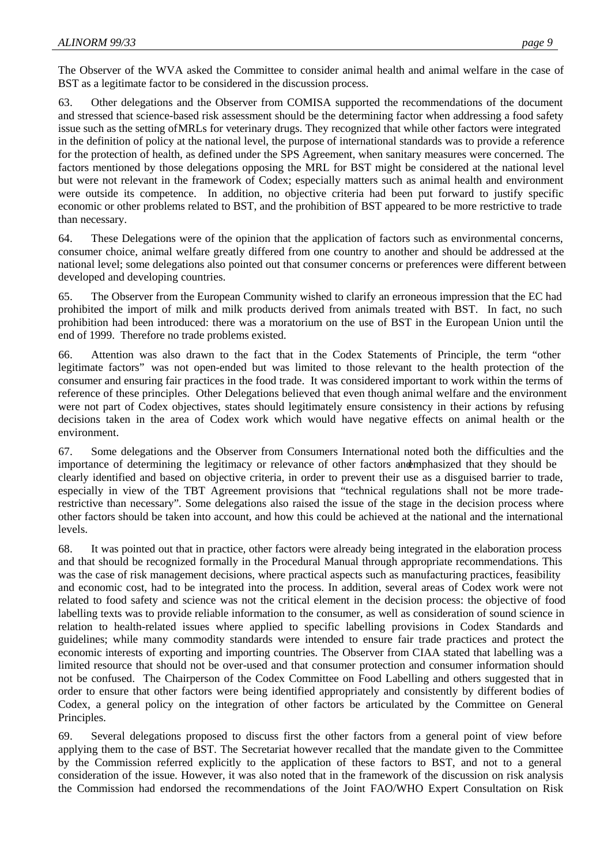The Observer of the WVA asked the Committee to consider animal health and animal welfare in the case of BST as a legitimate factor to be considered in the discussion process.

63. Other delegations and the Observer from COMISA supported the recommendations of the document and stressed that science-based risk assessment should be the determining factor when addressing a food safety issue such as the setting of MRLs for veterinary drugs. They recognized that while other factors were integrated in the definition of policy at the national level, the purpose of international standards was to provide a reference for the protection of health, as defined under the SPS Agreement, when sanitary measures were concerned. The factors mentioned by those delegations opposing the MRL for BST might be considered at the national level but were not relevant in the framework of Codex; especially matters such as animal health and environment were outside its competence. In addition, no objective criteria had been put forward to justify specific economic or other problems related to BST, and the prohibition of BST appeared to be more restrictive to trade than necessary.

64. These Delegations were of the opinion that the application of factors such as environmental concerns, consumer choice, animal welfare greatly differed from one country to another and should be addressed at the national level; some delegations also pointed out that consumer concerns or preferences were different between developed and developing countries.

65. The Observer from the European Community wished to clarify an erroneous impression that the EC had prohibited the import of milk and milk products derived from animals treated with BST. In fact, no such prohibition had been introduced: there was a moratorium on the use of BST in the European Union until the end of 1999. Therefore no trade problems existed.

66. Attention was also drawn to the fact that in the Codex Statements of Principle, the term "other legitimate factors" was not open-ended but was limited to those relevant to the health protection of the consumer and ensuring fair practices in the food trade. It was considered important to work within the terms of reference of these principles. Other Delegations believed that even though animal welfare and the environment were not part of Codex objectives, states should legitimately ensure consistency in their actions by refusing decisions taken in the area of Codex work which would have negative effects on animal health or the environment.

67. Some delegations and the Observer from Consumers International noted both the difficulties and the importance of determining the legitimacy or relevance of other factors andemphasized that they should be clearly identified and based on objective criteria, in order to prevent their use as a disguised barrier to trade, especially in view of the TBT Agreement provisions that "technical regulations shall not be more traderestrictive than necessary". Some delegations also raised the issue of the stage in the decision process where other factors should be taken into account, and how this could be achieved at the national and the international levels.

68. It was pointed out that in practice, other factors were already being integrated in the elaboration process and that should be recognized formally in the Procedural Manual through appropriate recommendations. This was the case of risk management decisions, where practical aspects such as manufacturing practices, feasibility and economic cost, had to be integrated into the process. In addition, several areas of Codex work were not related to food safety and science was not the critical element in the decision process: the objective of food labelling texts was to provide reliable information to the consumer, as well as consideration of sound science in relation to health-related issues where applied to specific labelling provisions in Codex Standards and guidelines; while many commodity standards were intended to ensure fair trade practices and protect the economic interests of exporting and importing countries. The Observer from CIAA stated that labelling was a limited resource that should not be over-used and that consumer protection and consumer information should not be confused. The Chairperson of the Codex Committee on Food Labelling and others suggested that in order to ensure that other factors were being identified appropriately and consistently by different bodies of Codex, a general policy on the integration of other factors be articulated by the Committee on General Principles.

69. Several delegations proposed to discuss first the other factors from a general point of view before applying them to the case of BST. The Secretariat however recalled that the mandate given to the Committee by the Commission referred explicitly to the application of these factors to BST, and not to a general consideration of the issue. However, it was also noted that in the framework of the discussion on risk analysis the Commission had endorsed the recommendations of the Joint FAO/WHO Expert Consultation on Risk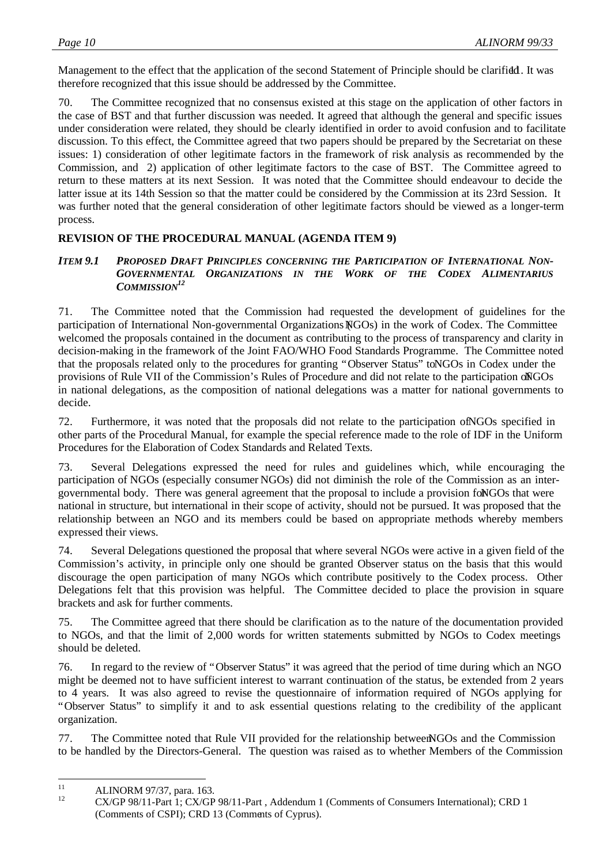Management to the effect that the application of the second Statement of Principle should be clarified. It was therefore recognized that this issue should be addressed by the Committee.

70. The Committee recognized that no consensus existed at this stage on the application of other factors in the case of BST and that further discussion was needed. It agreed that although the general and specific issues under consideration were related, they should be clearly identified in order to avoid confusion and to facilitate discussion. To this effect, the Committee agreed that two papers should be prepared by the Secretariat on these issues: 1) consideration of other legitimate factors in the framework of risk analysis as recommended by the Commission, and 2) application of other legitimate factors to the case of BST. The Committee agreed to return to these matters at its next Session. It was noted that the Committee should endeavour to decide the latter issue at its 14th Session so that the matter could be considered by the Commission at its 23rd Session. It was further noted that the general consideration of other legitimate factors should be viewed as a longer-term process.

# **REVISION OF THE PROCEDURAL MANUAL (AGENDA ITEM 9)**

#### *ITEM 9.1 PROPOSED DRAFT PRINCIPLES CONCERNING THE PARTICIPATION OF INTERNATIONAL NON-GOVERNMENTAL ORGANIZATIONS IN THE WORK OF THE CODEX ALIMENTARIUS COMMISSION<sup>12</sup>*

71. The Committee noted that the Commission had requested the development of guidelines for the participation of International Non-governmental Organizations (NGOs) in the work of Codex. The Committee welcomed the proposals contained in the document as contributing to the process of transparency and clarity in decision-making in the framework of the Joint FAO/WHO Food Standards Programme. The Committee noted that the proposals related only to the procedures for granting "Observer Status" to NGOs in Codex under the provisions of Rule VII of the Commission's Rules of Procedure and did not relate to the participation of NGOs in national delegations, as the composition of national delegations was a matter for national governments to decide.

72. Furthermore, it was noted that the proposals did not relate to the participation ofNGOs specified in other parts of the Procedural Manual, for example the special reference made to the role of IDF in the Uniform Procedures for the Elaboration of Codex Standards and Related Texts.

73. Several Delegations expressed the need for rules and guidelines which, while encouraging the participation of NGOs (especially consumer NGOs) did not diminish the role of the Commission as an intergovernmental body. There was general agreement that the proposal to include a provision for NGOs that were national in structure, but international in their scope of activity, should not be pursued. It was proposed that the relationship between an NGO and its members could be based on appropriate methods whereby members expressed their views.

74. Several Delegations questioned the proposal that where several NGOs were active in a given field of the Commission's activity, in principle only one should be granted Observer status on the basis that this would discourage the open participation of many NGOs which contribute positively to the Codex process. Other Delegations felt that this provision was helpful. The Committee decided to place the provision in square brackets and ask for further comments.

75. The Committee agreed that there should be clarification as to the nature of the documentation provided to NGOs, and that the limit of 2,000 words for written statements submitted by NGOs to Codex meetings should be deleted.

76. In regard to the review of "Observer Status" it was agreed that the period of time during which an NGO might be deemed not to have sufficient interest to warrant continuation of the status, be extended from 2 years to 4 years. It was also agreed to revise the questionnaire of information required of NGOs applying for "Observer Status" to simplify it and to ask essential questions relating to the credibility of the applicant organization.

77. The Committee noted that Rule VII provided for the relationship between NGOs and the Commission to be handled by the Directors-General. The question was raised as to whether Members of the Commission

 $11\,$ <sup>11</sup> ALINORM 97/37, para. 163.<br> **12** CV/CD 98/11 Days 1. CV/CD

<sup>12</sup> CX/GP 98/11-Part 1; CX/GP 98/11-Part , Addendum 1 (Comments of Consumers International); CRD 1 (Comments of CSPI); CRD 13 (Comments of Cyprus).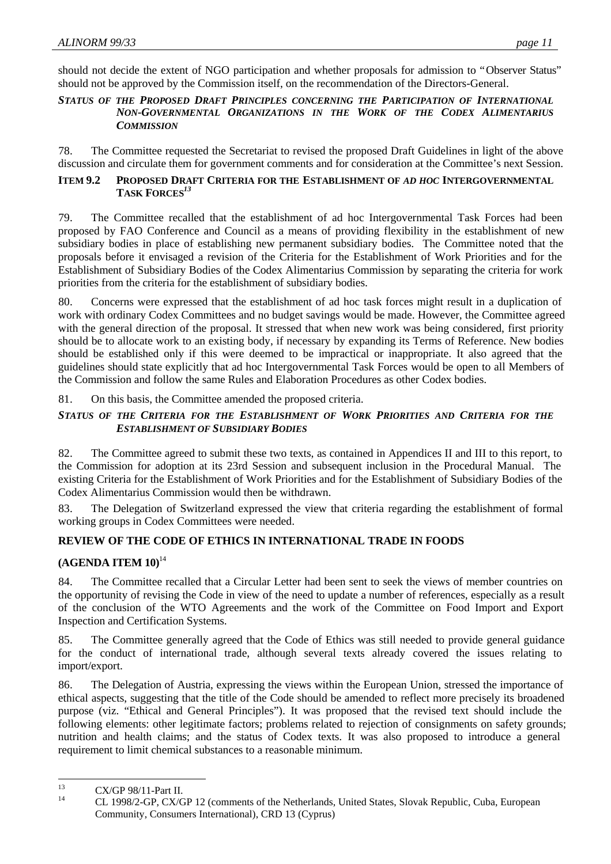should not decide the extent of NGO participation and whether proposals for admission to "Observer Status" should not be approved by the Commission itself, on the recommendation of the Directors-General.

#### *STATUS OF THE PROPOSED DRAFT PRINCIPLES CONCERNING THE PARTICIPATION OF INTERNATIONAL NON-GOVERNMENTAL ORGANIZATIONS IN THE WORK OF THE CODEX ALIMENTARIUS COMMISSION*

78. The Committee requested the Secretariat to revised the proposed Draft Guidelines in light of the above discussion and circulate them for government comments and for consideration at the Committee's next Session.

### **ITEM 9.2 PROPOSED DRAFT CRITERIA FOR THE ESTABLISHMENT OF** *AD HOC* **INTERGOVERNMENTAL TASK FORCES***<sup>13</sup>*

79. The Committee recalled that the establishment of ad hoc Intergovernmental Task Forces had been proposed by FAO Conference and Council as a means of providing flexibility in the establishment of new subsidiary bodies in place of establishing new permanent subsidiary bodies. The Committee noted that the proposals before it envisaged a revision of the Criteria for the Establishment of Work Priorities and for the Establishment of Subsidiary Bodies of the Codex Alimentarius Commission by separating the criteria for work priorities from the criteria for the establishment of subsidiary bodies.

80. Concerns were expressed that the establishment of ad hoc task forces might result in a duplication of work with ordinary Codex Committees and no budget savings would be made. However, the Committee agreed with the general direction of the proposal. It stressed that when new work was being considered, first priority should be to allocate work to an existing body, if necessary by expanding its Terms of Reference. New bodies should be established only if this were deemed to be impractical or inappropriate. It also agreed that the guidelines should state explicitly that ad hoc Intergovernmental Task Forces would be open to all Members of the Commission and follow the same Rules and Elaboration Procedures as other Codex bodies.

81. On this basis, the Committee amended the proposed criteria.

# *STATUS OF THE CRITERIA FOR THE ESTABLISHMENT OF WORK PRIORITIES AND CRITERIA FOR THE ESTABLISHMENT OF SUBSIDIARY BODIES*

82. The Committee agreed to submit these two texts, as contained in Appendices II and III to this report, to the Commission for adoption at its 23rd Session and subsequent inclusion in the Procedural Manual. The existing Criteria for the Establishment of Work Priorities and for the Establishment of Subsidiary Bodies of the Codex Alimentarius Commission would then be withdrawn.

83. The Delegation of Switzerland expressed the view that criteria regarding the establishment of formal working groups in Codex Committees were needed.

# **REVIEW OF THE CODE OF ETHICS IN INTERNATIONAL TRADE IN FOODS**

# **(AGENDA ITEM 10)**<sup>14</sup>

84. The Committee recalled that a Circular Letter had been sent to seek the views of member countries on the opportunity of revising the Code in view of the need to update a number of references, especially as a result of the conclusion of the WTO Agreements and the work of the Committee on Food Import and Export Inspection and Certification Systems.

85. The Committee generally agreed that the Code of Ethics was still needed to provide general guidance for the conduct of international trade, although several texts already covered the issues relating to import/export.

86. The Delegation of Austria, expressing the views within the European Union, stressed the importance of ethical aspects, suggesting that the title of the Code should be amended to reflect more precisely its broadened purpose (viz. "Ethical and General Principles"). It was proposed that the revised text should include the following elements: other legitimate factors; problems related to rejection of consignments on safety grounds; nutrition and health claims; and the status of Codex texts. It was also proposed to introduce a general requirement to limit chemical substances to a reasonable minimum.

<sup>13</sup> <sup>13</sup> CX/GP 98/11-Part II.

<sup>14</sup> CL 1998/2-GP, CX/GP 12 (comments of the Netherlands, United States, Slovak Republic, Cuba, European Community, Consumers International), CRD 13 (Cyprus)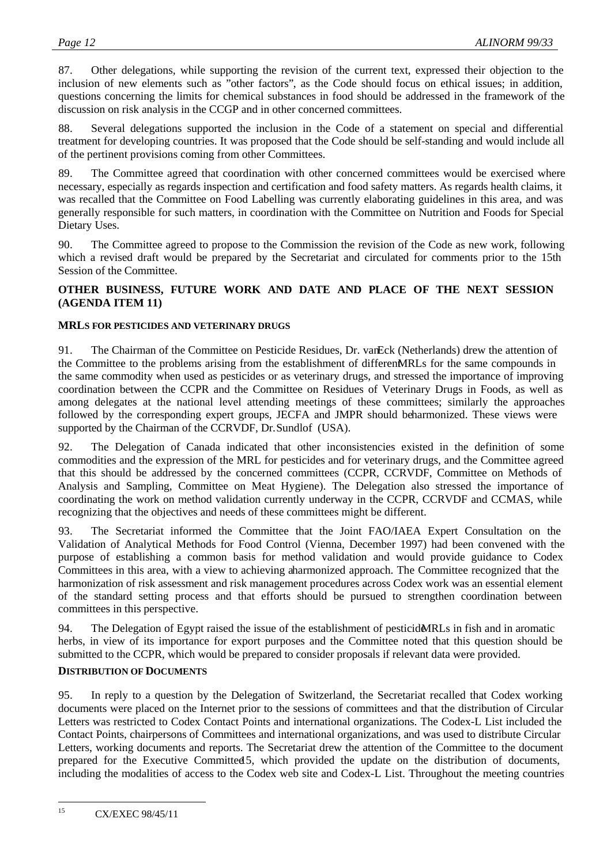87. Other delegations, while supporting the revision of the current text, expressed their objection to the inclusion of new elements such as "other factors", as the Code should focus on ethical issues; in addition, questions concerning the limits for chemical substances in food should be addressed in the framework of the discussion on risk analysis in the CCGP and in other concerned committees.

88. Several delegations supported the inclusion in the Code of a statement on special and differential treatment for developing countries. It was proposed that the Code should be self-standing and would include all of the pertinent provisions coming from other Committees.

89. The Committee agreed that coordination with other concerned committees would be exercised where necessary, especially as regards inspection and certification and food safety matters. As regards health claims, it was recalled that the Committee on Food Labelling was currently elaborating guidelines in this area, and was generally responsible for such matters, in coordination with the Committee on Nutrition and Foods for Special Dietary Uses.

90. The Committee agreed to propose to the Commission the revision of the Code as new work, following which a revised draft would be prepared by the Secretariat and circulated for comments prior to the 15th Session of the Committee.

# **OTHER BUSINESS, FUTURE WORK AND DATE AND PLACE OF THE NEXT SESSION (AGENDA ITEM 11)**

#### **MRLS FOR PESTICIDES AND VETERINARY DRUGS**

91. The Chairman of the Committee on Pesticide Residues, Dr. van Eck (Netherlands) drew the attention of the Committee to the problems arising from the establishment of different MRLs for the same compounds in the same commodity when used as pesticides or as veterinary drugs, and stressed the importance of improving coordination between the CCPR and the Committee on Residues of Veterinary Drugs in Foods, as well as among delegates at the national level attending meetings of these committees; similarly the approaches followed by the corresponding expert groups, JECFA and JMPR should beharmonized. These views were supported by the Chairman of the CCRVDF, Dr. Sundlof (USA).

92. The Delegation of Canada indicated that other inconsistencies existed in the definition of some commodities and the expression of the MRL for pesticides and for veterinary drugs, and the Committee agreed that this should be addressed by the concerned committees (CCPR, CCRVDF, Committee on Methods of Analysis and Sampling, Committee on Meat Hygiene). The Delegation also stressed the importance of coordinating the work on method validation currently underway in the CCPR, CCRVDF and CCMAS, while recognizing that the objectives and needs of these committees might be different.

93. The Secretariat informed the Committee that the Joint FAO/IAEA Expert Consultation on the Validation of Analytical Methods for Food Control (Vienna, December 1997) had been convened with the purpose of establishing a common basis for method validation and would provide guidance to Codex Committees in this area, with a view to achieving a harmonized approach. The Committee recognized that the harmonization of risk assessment and risk management procedures across Codex work was an essential element of the standard setting process and that efforts should be pursued to strengthen coordination between committees in this perspective.

94. The Delegation of Egypt raised the issue of the establishment of pesticide MRLs in fish and in aromatic herbs, in view of its importance for export purposes and the Committee noted that this question should be submitted to the CCPR, which would be prepared to consider proposals if relevant data were provided.

#### **DISTRIBUTION OF DOCUMENTS**

95. In reply to a question by the Delegation of Switzerland, the Secretariat recalled that Codex working documents were placed on the Internet prior to the sessions of committees and that the distribution of Circular Letters was restricted to Codex Contact Points and international organizations. The Codex-L List included the Contact Points, chairpersons of Committees and international organizations, and was used to distribute Circular Letters, working documents and reports. The Secretariat drew the attention of the Committee to the document prepared for the Executive Committee15, which provided the update on the distribution of documents, including the modalities of access to the Codex web site and Codex-L List. Throughout the meeting countries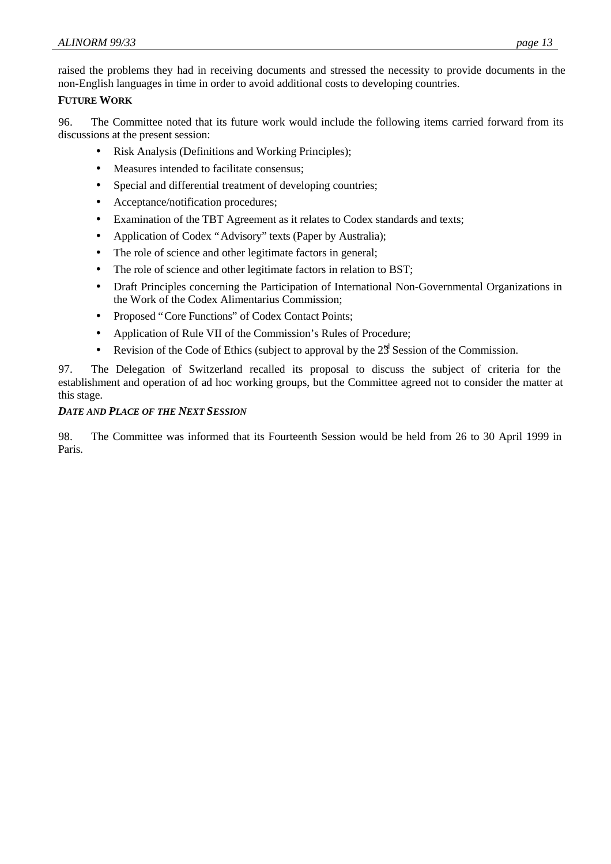raised the problems they had in receiving documents and stressed the necessity to provide documents in the non-English languages in time in order to avoid additional costs to developing countries.

#### **FUTURE WORK**

96. The Committee noted that its future work would include the following items carried forward from its discussions at the present session:

- Risk Analysis (Definitions and Working Principles);
- Measures intended to facilitate consensus;
- Special and differential treatment of developing countries;
- Acceptance/notification procedures;
- Examination of the TBT Agreement as it relates to Codex standards and texts;
- Application of Codex "Advisory" texts (Paper by Australia);
- The role of science and other legitimate factors in general;
- The role of science and other legitimate factors in relation to BST:
- Draft Principles concerning the Participation of International Non-Governmental Organizations in the Work of the Codex Alimentarius Commission;
- Proposed "Core Functions" of Codex Contact Points;
- Application of Rule VII of the Commission's Rules of Procedure;
- Revision of the Code of Ethics (subject to approval by the  $2\frac{3}{5}$  Session of the Commission.

97. The Delegation of Switzerland recalled its proposal to discuss the subject of criteria for the establishment and operation of ad hoc working groups, but the Committee agreed not to consider the matter at this stage.

#### *DATE AND PLACE OF THE NEXT SESSION*

98. The Committee was informed that its Fourteenth Session would be held from 26 to 30 April 1999 in Paris.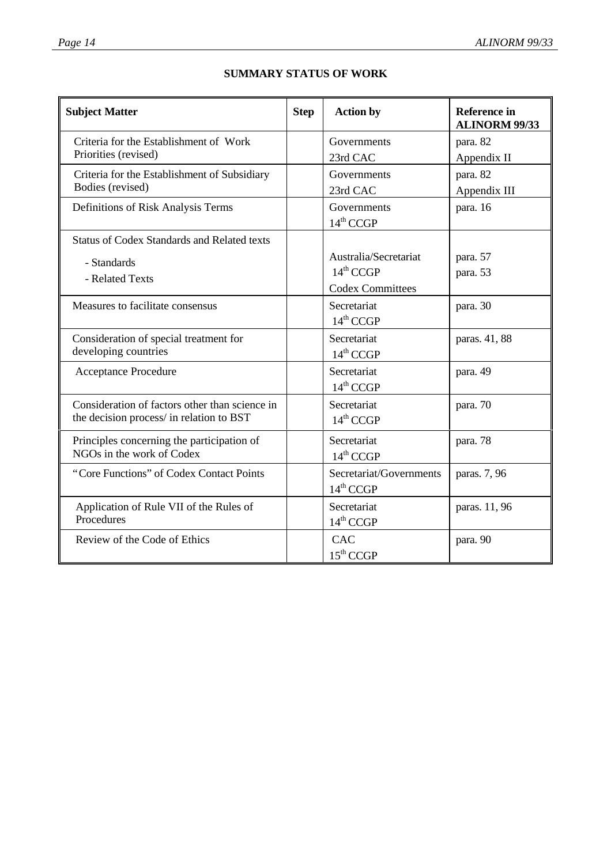| <b>Subject Matter</b>                                                                      |  | <b>Action by</b>        | <b>Reference</b> in<br><b>ALINORM 99/33</b> |
|--------------------------------------------------------------------------------------------|--|-------------------------|---------------------------------------------|
| Criteria for the Establishment of Work                                                     |  | Governments             | para. 82                                    |
| Priorities (revised)                                                                       |  | 23rd CAC                | Appendix II                                 |
| Criteria for the Establishment of Subsidiary                                               |  | Governments             | para. 82                                    |
| Bodies (revised)                                                                           |  | 23rd CAC                | Appendix III                                |
| Definitions of Risk Analysis Terms                                                         |  | Governments             | para. 16                                    |
|                                                                                            |  | 14 <sup>th</sup> CCGP   |                                             |
| <b>Status of Codex Standards and Related texts</b>                                         |  |                         |                                             |
| - Standards                                                                                |  | Australia/Secretariat   | para. 57                                    |
| - Related Texts                                                                            |  | $14^{\text{th}}$ CCGP   | para. 53                                    |
|                                                                                            |  | <b>Codex Committees</b> |                                             |
| Measures to facilitate consensus                                                           |  | Secretariat             | para. 30                                    |
|                                                                                            |  | $14^{th}$ CCGP          |                                             |
| Consideration of special treatment for                                                     |  | Secretariat             | paras. 41, 88                               |
| developing countries                                                                       |  | $14^{\text{th}}$ CCGP   |                                             |
| <b>Acceptance Procedure</b>                                                                |  | Secretariat             | para. 49                                    |
|                                                                                            |  | 14th CCGP               |                                             |
| Consideration of factors other than science in<br>the decision process/ in relation to BST |  | Secretariat             | para. 70                                    |
|                                                                                            |  | 14 <sup>th</sup> CCGP   |                                             |
| Principles concerning the participation of                                                 |  | Secretariat             | para. 78                                    |
| NGOs in the work of Codex                                                                  |  | 14 <sup>th</sup> CCGP   |                                             |
| "Core Functions" of Codex Contact Points                                                   |  | Secretariat/Governments | paras. 7, 96                                |
|                                                                                            |  | $14^{\text{th}}$ CCGP   |                                             |
| Application of Rule VII of the Rules of                                                    |  | Secretariat             | paras. 11, 96                               |
| Procedures                                                                                 |  | 14 <sup>th</sup> CCGP   |                                             |
| Review of the Code of Ethics                                                               |  | CAC                     | para. 90                                    |
|                                                                                            |  | $15^{\text{th}}$ CCGP   |                                             |

# **SUMMARY STATUS OF WORK**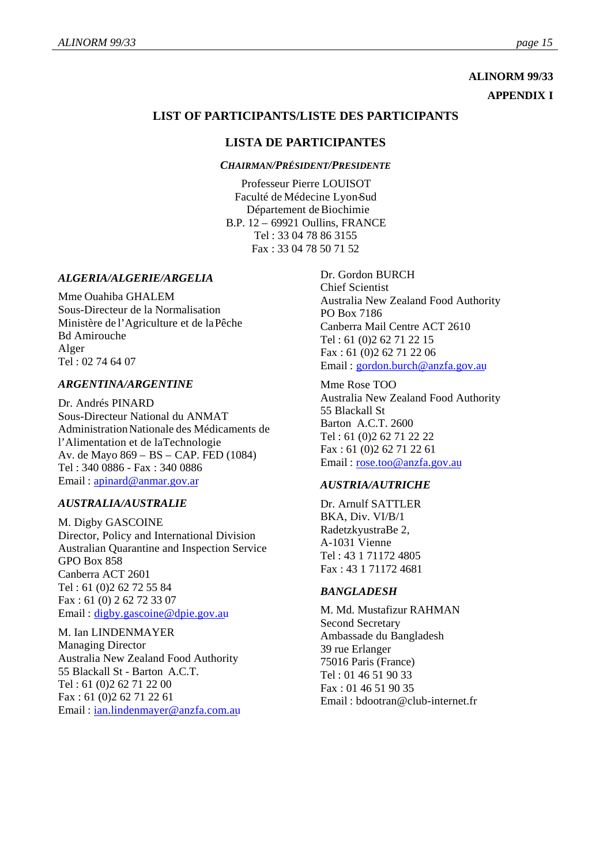# **ALINORM 99/33 APPENDIX I**

# **LIST OF PARTICIPANTS/LISTE DES PARTICIPANTS**

# **LISTA DE PARTICIPANTES**

*CHAIRMAN/PRÉSIDENT/PRESIDENTE*

Professeur Pierre LOUISOT Faculté de Médecine Lyon-Sud Département de Biochimie B.P. 12 – 69921 Oullins, FRANCE Tel : 33 04 78 86 3155 Fax : 33 04 78 50 71 52

#### *ALGERIA/ALGERIE/ARGELIA*

Mme Ouahiba GHALEM Sous-Directeur de la Normalisation Ministère de l'Agriculture et de la Pêche Bd Amirouche Alger Tel : 02 74 64 07

#### *ARGENTINA/ARGENTINE*

Dr. Andrés PINARD Sous-Directeur National du ANMAT Administration Nationale des Médicaments de l'Alimentation et de laTechnologie Av. de Mayo 869 – BS – CAP. FED (1084) Tel : 340 0886 - Fax : 340 0886 Email : apinard@anmar.gov.ar

#### *AUSTRALIA/AUSTRALIE*

M. Digby GASCOINE Director, Policy and International Division Australian Quarantine and Inspection Service GPO Box 858 Canberra ACT 2601 Tel : 61 (0)2 62 72 55 84 Fax : 61 (0) 2 62 72 33 07 Email : digby.gascoine@dpie.gov.au

M. Ian LINDENMAYER Managing Director Australia New Zealand Food Authority 55 Blackall St - Barton A.C.T. Tel : 61 (0)2 62 71 22 00 Fax : 61 (0)2 62 71 22 61 Email : ian.lindenmayer@anzfa.com.au Dr. Gordon BURCH Chief Scientist Australia New Zealand Food Authority PO Box 7186 Canberra Mail Centre ACT 2610 Tel : 61 (0)2 62 71 22 15 Fax : 61 (0)2 62 71 22 06 Email : gordon.burch@anzfa.gov.au

Mme Rose TOO Australia New Zealand Food Authority 55 Blackall St Barton A.C.T. 2600 Tel : 61 (0)2 62 71 22 22 Fax : 61 (0)2 62 71 22 61 Email : rose.too@anzfa.gov.au

#### *AUSTRIA/AUTRICHE*

Dr. Arnulf SATTLER BKA, Div. VI/B/1 RadetzkyustraBe 2, A-1031 Vienne Tel : 43 1 71172 4805 Fax : 43 1 71172 4681

#### *BANGLADESH*

M. Md. Mustafizur RAHMAN Second Secretary Ambassade du Bangladesh 39 rue Erlanger 75016 Paris (France) Tel : 01 46 51 90 33 Fax : 01 46 51 90 35 Email : bdootran@club-internet.fr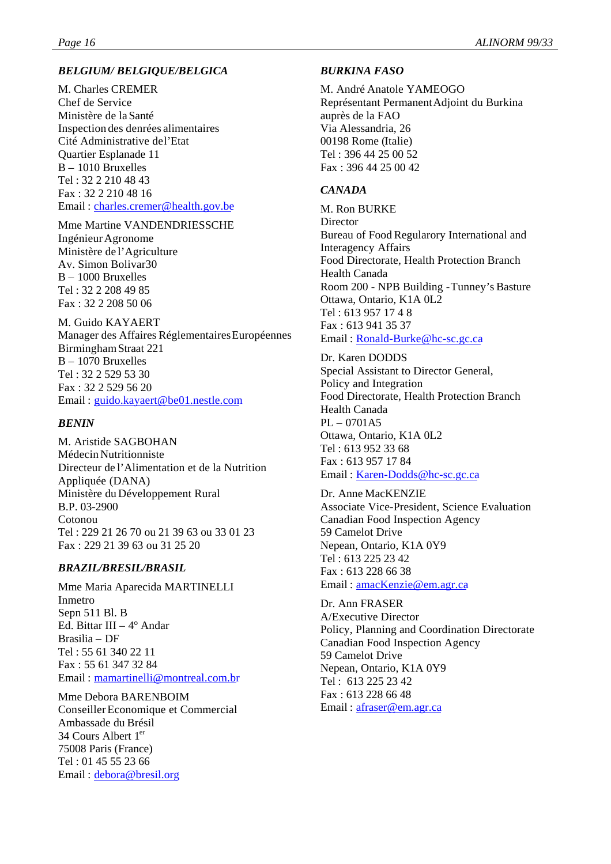# *BELGIUM/ BELGIQUE/BELGICA*

M. Charles CREMER Chef de Service Ministère de la Santé Inspection des denrées alimentaires Cité Administrative de l'Etat Quartier Esplanade 11 B – 1010 Bruxelles Tel : 32 2 210 48 43 Fax : 32 2 210 48 16 Email : charles.cremer@health.gov.be

#### Mme Martine VANDENDRIESSCHE

Ingénieur Agronome Ministère de l'Agriculture Av. Simon Bolivar30 B – 1000 Bruxelles Tel : 32 2 208 49 85 Fax : 32 2 208 50 06

#### M. Guido KAYAERT

Manager des Affaires Réglementaires Européennes Birmingham Straat 221 B – 1070 Bruxelles Tel : 32 2 529 53 30 Fax : 32 2 529 56 20 Email : guido.kayaert@be01.nestle.com

#### *BENIN*

M. Aristide SAGBOHAN Médecin Nutritionniste Directeur de l'Alimentation et de la Nutrition Appliquée (DANA) Ministère du Développement Rural B.P. 03-2900 Cotonou Tel : 229 21 26 70 ou 21 39 63 ou 33 01 23 Fax : 229 21 39 63 ou 31 25 20

#### *BRAZIL/BRESIL/BRASIL*

Mme Maria Aparecida MARTINELLI Inmetro Sepn 511 Bl. B Ed. Bittar III – 4° Andar Brasilia – DF Tel : 55 61 340 22 11 Fax : 55 61 347 32 84 Email : mamartinelli@montreal.com.br

Mme Debora BARENBOIM Conseiller Economique et Commercial Ambassade du Brésil 34 Cours Albert 1er 75008 Paris (France) Tel : 01 45 55 23 66 Email : debora@bresil.org

#### *BURKINA FASO*

M. André Anatole YAMEOGO Représentant Permanent Adjoint du Burkina auprès de la FAO Via Alessandria, 26 00198 Rome (Italie) Tel : 396 44 25 00 52 Fax : 396 44 25 00 42

#### *CANADA*

M. Ron BURKE **Director** Bureau of Food Regularory International and Interagency Affairs Food Directorate, Health Protection Branch Health Canada Room 200 - NPB Building - Tunney's Basture Ottawa, Ontario, K1A 0L2 Tel : 613 957 17 4 8 Fax : 613 941 35 37 Email : Ronald-Burke@hc-sc.gc.ca

#### Dr. Karen DODDS

Special Assistant to Director General, Policy and Integration Food Directorate, Health Protection Branch Health Canada PL – 0701A5 Ottawa, Ontario, K1A 0L2 Tel : 613 952 33 68 Fax : 613 957 17 84 Email : Karen-Dodds@hc-sc.gc.ca

Dr. Anne MacKENZIE Associate Vice-President, Science Evaluation Canadian Food Inspection Agency 59 Camelot Drive Nepean, Ontario, K1A 0Y9 Tel : 613 225 23 42 Fax : 613 228 66 38 Email : amacKenzie@em.agr.ca

Dr. Ann FRASER A/Executive Director Policy, Planning and Coordination Directorate Canadian Food Inspection Agency 59 Camelot Drive Nepean, Ontario, K1A 0Y9 Tel : 613 225 23 42 Fax : 613 228 66 48 Email : afraser@em.agr.ca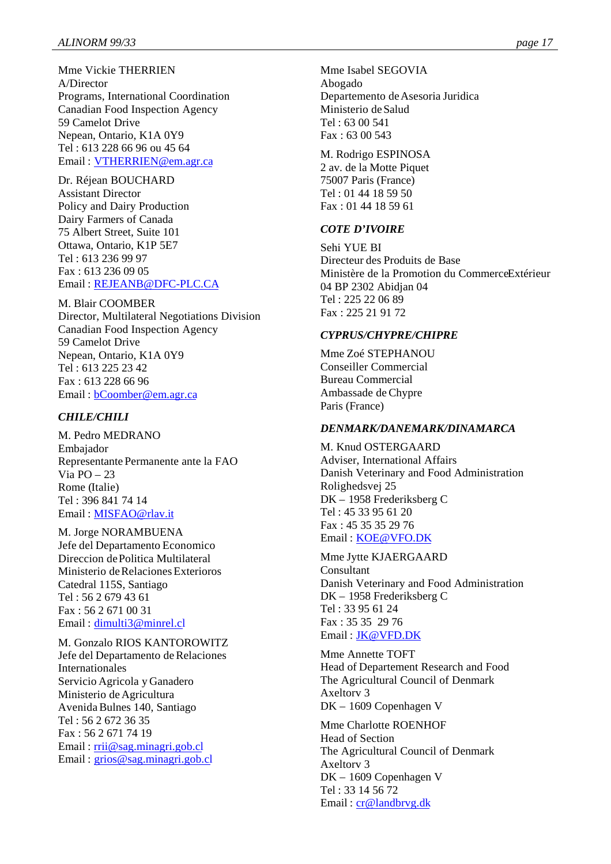Mme Vickie THERRIEN A/Director Programs, International Coordination Canadian Food Inspection Agency 59 Camelot Drive Nepean, Ontario, K1A 0Y9 Tel : 613 228 66 96 ou 45 64 Email : VTHERRIEN@em.agr.ca

Dr. Réjean BOUCHARD Assistant Director Policy and Dairy Production Dairy Farmers of Canada 75 Albert Street, Suite 101 Ottawa, Ontario, K1P 5E7 Tel : 613 236 99 97 Fax : 613 236 09 05 Email : REJEANB@DFC-PLC.CA

M. Blair COOMBER Director, Multilateral Negotiations Division Canadian Food Inspection Agency 59 Camelot Drive Nepean, Ontario, K1A 0Y9 Tel : 613 225 23 42 Fax : 613 228 66 96 Email : bCoomber@em.agr.ca

#### *CHILE/CHILI*

M. Pedro MEDRANO Embajador Representante Permanente ante la FAO Via  $PO - 23$ Rome (Italie) Tel : 396 841 74 14 Email : MISFAO@rlav.it

M. Jorge NORAMBUENA Jefe del Departamento Economico Direccion de Politica Multilateral Ministerio de Relaciones Exterioros Catedral 115S, Santiago Tel : 56 2 679 43 61 Fax : 56 2 671 00 31 Email : dimulti3@minrel.cl

M. Gonzalo RIOS KANTOROWITZ Jefe del Departamento de Relaciones Internationales Servicio Agricola y Ganadero Ministerio de Agricultura Avenida Bulnes 140, Santiago Tel : 56 2 672 36 35 Fax : 56 2 671 74 19 Email : rrii@sag.minagri.gob.cl Email : grios@sag.minagri.gob.cl

Mme Isabel SEGOVIA Abogado Departemento de Asesoria Juridica Ministerio de Salud Tel : 63 00 541 Fax : 63 00 543

M. Rodrigo ESPINOSA 2 av. de la Motte Piquet 75007 Paris (France) Tel : 01 44 18 59 50 Fax : 01 44 18 59 61

#### *COTE D'IVOIRE*

Sehi YUE BI Directeur des Produits de Base Ministère de la Promotion du Commerce Extérieur 04 BP 2302 Abidjan 04 Tel : 225 22 06 89 Fax : 225 21 91 72

#### *CYPRUS/CHYPRE/CHIPRE*

Mme Zoé STEPHANOU Conseiller Commercial Bureau Commercial Ambassade de Chypre Paris (France)

#### *DENMARK/DANEMARK/DINAMARCA*

M. Knud OSTERGAARD Adviser, International Affairs Danish Veterinary and Food Administration Rolighedsvej 25 DK – 1958 Frederiksberg C Tel : 45 33 95 61 20 Fax : 45 35 35 29 76 Email : KOE@VFO.DK

Mme Jytte KJAERGAARD Consultant Danish Veterinary and Food Administration DK – 1958 Frederiksberg C Tel : 33 95 61 24 Fax : 35 35 29 76 Email : JK@VFD.DK

Mme Annette TOFT Head of Departement Research and Food The Agricultural Council of Denmark Axeltorv 3 DK – 1609 Copenhagen V

Mme Charlotte ROENHOF Head of Section The Agricultural Council of Denmark Axeltorv 3 DK – 1609 Copenhagen V Tel : 33 14 56 72 Email : cr@landbrvg.dk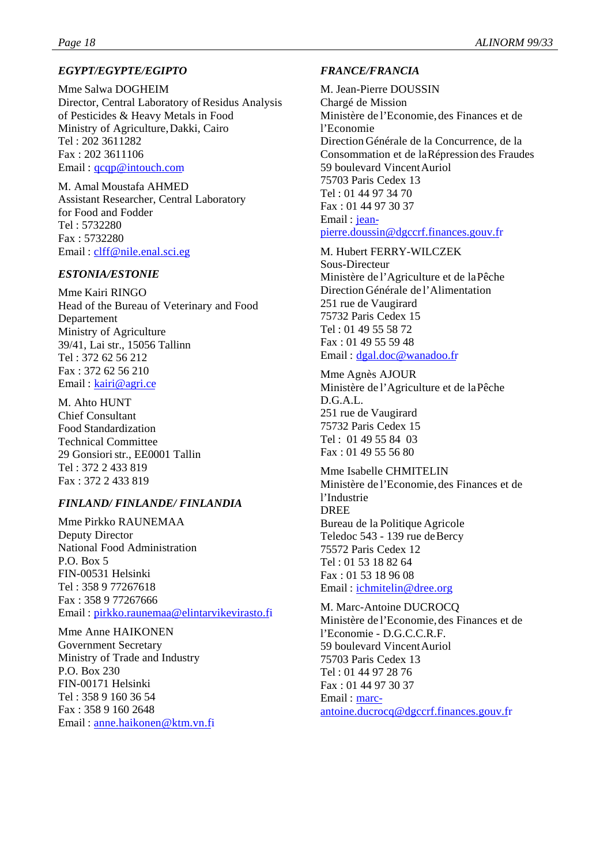# *EGYPT/EGYPTE/EGIPTO*

Mme Salwa DOGHEIM Director, Central Laboratory of Residus Analysis of Pesticides & Heavy Metals in Food Ministry of Agriculture, Dakki, Cairo Tel : 202 3611282 Fax : 202 3611106 Email : qcqp@intouch.com

M. Amal Moustafa AHMED Assistant Researcher, Central Laboratory for Food and Fodder Tel : 5732280 Fax : 5732280 Email : clff@nile.enal.sci.eg

# *ESTONIA/ESTONIE*

Mme Kairi RINGO Head of the Bureau of Veterinary and Food Departement Ministry of Agriculture 39/41, Lai str., 15056 Tallinn Tel : 372 62 56 212 Fax : 372 62 56 210 Email: kairi@agri.ce

M. Ahto HUNT Chief Consultant Food Standardization Technical Committee 29 Gonsiori str., EE0001 Tallin Tel : 372 2 433 819 Fax : 372 2 433 819

# *FINLAND/ FINLANDE/ FINLANDIA*

Mme Pirkko RAUNEMAA Deputy Director National Food Administration P.O. Box 5 FIN-00531 Helsinki Tel : 358 9 77267618 Fax : 358 9 77267666 Email : pirkko.raunemaa@elintarvikevirasto.fi

Mme Anne HAIKONEN Government Secretary Ministry of Trade and Industry P.O. Box 230 FIN-00171 Helsinki Tel : 358 9 160 36 54 Fax : 358 9 160 2648 Email : anne.haikonen@ktm.vn.fi

# *FRANCE/FRANCIA*

M. Jean-Pierre DOUSSIN Chargé de Mission Ministère de l'Economie, des Finances et de l'Economie Direction Générale de la Concurrence, de la Consommation et de la Répression des Fraudes 59 boulevard Vincent Auriol 75703 Paris Cedex 13 Tel : 01 44 97 34 70 Fax : 01 44 97 30 37 Email : jeanpierre.doussin@dgccrf.finances.gouv.fr

M. Hubert FERRY-WILCZEK Sous-Directeur Ministère de l'Agriculture et de la Pêche Direction Générale de l'Alimentation 251 rue de Vaugirard 75732 Paris Cedex 15 Tel : 01 49 55 58 72 Fax : 01 49 55 59 48 Email : dgal.doc@wanadoo.fr

Mme Agnès AJOUR Ministère de l'Agriculture et de la Pêche D.G.A.L. 251 rue de Vaugirard 75732 Paris Cedex 15 Tel : 01 49 55 84 03 Fax : 01 49 55 56 80

Mme Isabelle CHMITELIN Ministère de l'Economie, des Finances et de l'Industrie DREE Bureau de la Politique Agricole Teledoc 543 - 139 rue de Bercy 75572 Paris Cedex 12 Tel : 01 53 18 82 64 Fax : 01 53 18 96 08 Email : ichmitelin@dree.org

M. Marc-Antoine DUCROCQ Ministère de l'Economie, des Finances et de l'Economie - D.G.C.C.R.F. 59 boulevard Vincent Auriol 75703 Paris Cedex 13 Tel : 01 44 97 28 76 Fax : 01 44 97 30 37 Email : marcantoine.ducrocq@dgccrf.finances.gouv.fr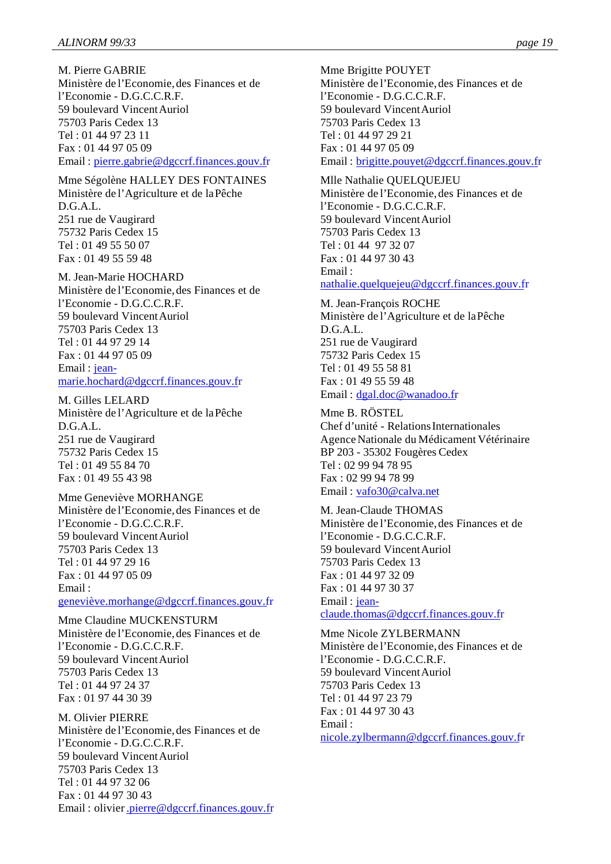M. Pierre GABRIE Ministère de l'Economie, des Finances et de l'Economie - D.G.C.C.R.F. 59 boulevard Vincent Auriol 75703 Paris Cedex 13 Tel : 01 44 97 23 11 Fax : 01 44 97 05 09 Email : pierre.gabrie@dgccrf.finances.gouv.fr

Mme Ségolène HALLEY DES FONTAINES Ministère de l'Agriculture et de la Pêche D.G.A.L. 251 rue de Vaugirard 75732 Paris Cedex 15 Tel : 01 49 55 50 07 Fax : 01 49 55 59 48

M. Jean-Marie HOCHARD Ministère de l'Economie, des Finances et de l'Economie - D.G.C.C.R.F. 59 boulevard Vincent Auriol 75703 Paris Cedex 13 Tel : 01 44 97 29 14 Fax : 01 44 97 05 09 Email : jeanmarie.hochard@dgccrf.finances.gouv.fr

M. Gilles LELARD Ministère de l'Agriculture et de la Pêche D.G.A.L. 251 rue de Vaugirard 75732 Paris Cedex 15 Tel : 01 49 55 84 70 Fax : 01 49 55 43 98

Mme Geneviève MORHANGE Ministère de l'Economie, des Finances et de l'Economie - D.G.C.C.R.F. 59 boulevard Vincent Auriol 75703 Paris Cedex 13 Tel : 01 44 97 29 16 Fax : 01 44 97 05 09 Email :

geneviève.morhange@dgccrf.finances.gouv.fr

Mme Claudine MUCKENSTURM Ministère de l'Economie, des Finances et de l'Economie - D.G.C.C.R.F. 59 boulevard Vincent Auriol 75703 Paris Cedex 13 Tel : 01 44 97 24 37 Fax : 01 97 44 30 39

M. Olivier PIERRE Ministère de l'Economie, des Finances et de l'Economie - D.G.C.C.R.F. 59 boulevard Vincent Auriol 75703 Paris Cedex 13 Tel : 01 44 97 32 06 Fax : 01 44 97 30 43 Email : olivier.pierre@dgccrf.finances.gouv.fr Mme Brigitte POUYET Ministère de l'Economie, des Finances et de l'Economie - D.G.C.C.R.F. 59 boulevard Vincent Auriol 75703 Paris Cedex 13 Tel : 01 44 97 29 21 Fax : 01 44 97 05 09 Email : brigitte.pouyet@dgccrf.finances.gouv.fr

Mlle Nathalie QUELQUEJEU Ministère de l'Economie, des Finances et de l'Economie - D.G.C.C.R.F. 59 boulevard Vincent Auriol 75703 Paris Cedex 13 Tel : 01 44 97 32 07 Fax : 01 44 97 30 43 Email : nathalie.quelquejeu@dgccrf.finances.gouv.fr

M. Jean-François ROCHE Ministère de l'Agriculture et de la Pêche D.G.A.L. 251 rue de Vaugirard 75732 Paris Cedex 15 Tel : 01 49 55 58 81 Fax : 01 49 55 59 48 Email : dgal.doc@wanadoo.fr Mme B. RÖSTEL

Chef d'unité - Relations Internationales Agence Nationale du Médicament Vétérinaire BP 203 - 35302 Fougères Cedex Tel : 02 99 94 78 95 Fax : 02 99 94 78 99 Email : vafo30@calva.net

M. Jean-Claude THOMAS Ministère de l'Economie, des Finances et de l'Economie - D.G.C.C.R.F. 59 boulevard Vincent Auriol 75703 Paris Cedex 13 Fax : 01 44 97 32 09 Fax : 01 44 97 30 37 Email: jeanclaude.thomas@dgccrf.finances.gouv.fr

Mme Nicole ZYLBERMANN Ministère de l'Economie, des Finances et de l'Economie - D.G.C.C.R.F. 59 boulevard Vincent Auriol 75703 Paris Cedex 13 Tel : 01 44 97 23 79 Fax : 01 44 97 30 43 Email : nicole.zylbermann@dgccrf.finances.gouv.fr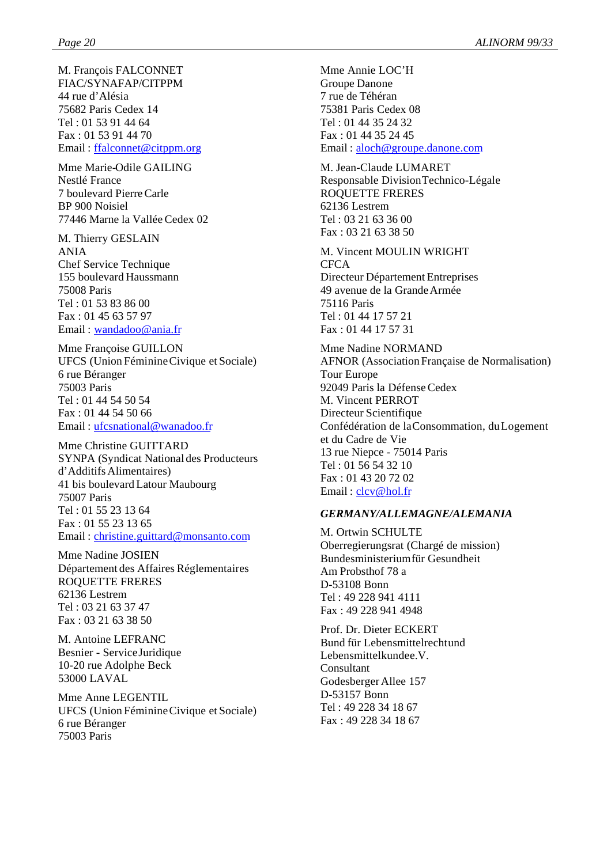M. François FALCONNET FIAC/SYNAFAP/CITPPM 44 rue d'Alésia 75682 Paris Cedex 14 Tel : 01 53 91 44 64 Fax : 01 53 91 44 70 Email : ffalconnet@citppm.org

Mme Marie-Odile GAILING Nestlé France 7 boulevard Pierre Carle BP 900 Noisiel 77446 Marne la Vallée Cedex 02

M. Thierry GESLAIN ANIA Chef Service Technique 155 boulevard Haussmann 75008 Paris Tel : 01 53 83 86 00 Fax : 01 45 63 57 97 Email : wandadoo@ania.fr

Mme Françoise GUILLON UFCS (Union Féminine Civique et Sociale) 6 rue Béranger 75003 Paris Tel : 01 44 54 50 54 Fax : 01 44 54 50 66 Email : ufcsnational@wanadoo.fr

Mme Christine GUITTARD SYNPA (Syndicat National des Producteurs d'Additifs Alimentaires) 41 bis boulevard Latour Maubourg 75007 Paris Tel : 01 55 23 13 64 Fax : 01 55 23 13 65 Email : christine.guittard@monsanto.com

Mme Nadine JOSIEN Département des Affaires Réglementaires ROQUETTE FRERES 62136 Lestrem Tel : 03 21 63 37 47 Fax : 03 21 63 38 50

M. Antoine LEFRANC Besnier - Service Juridique 10-20 rue Adolphe Beck 53000 LAVAL

Mme Anne LEGENTIL UFCS (Union Féminine Civique et Sociale) 6 rue Béranger 75003 Paris

Mme Annie LOC'H Groupe Danone 7 rue de Téhéran 75381 Paris Cedex 08 Tel : 01 44 35 24 32 Fax : 01 44 35 24 45 Email : aloch@groupe.danone.com

M. Jean-Claude LUMARET Responsable Division Technico-Légale ROQUETTE FRERES 62136 Lestrem Tel : 03 21 63 36 00 Fax : 03 21 63 38 50

M. Vincent MOULIN WRIGHT **CFCA** Directeur Département Entreprises 49 avenue de la Grande Armée 75116 Paris Tel : 01 44 17 57 21 Fax : 01 44 17 57 31

Mme Nadine NORMAND AFNOR (Association Française de Normalisation) Tour Europe 92049 Paris la Défense Cedex M. Vincent PERROT Directeur Scientifique Confédération de la Consommation, du Logement et du Cadre de Vie 13 rue Niepce - 75014 Paris Tel : 01 56 54 32 10 Fax : 01 43 20 72 02 Email : clcv@hol.fr

#### *GERMANY/ALLEMAGNE/ALEMANIA*

M. Ortwin SCHULTE Oberregierungsrat (Chargé de mission) Bundesministerium für Gesundheit Am Probsthof 78 a D-53108 Bonn Tel : 49 228 941 4111 Fax : 49 228 941 4948

Prof. Dr. Dieter ECKERT Bund für Lebensmittelrecht und Lebensmittelkundee.V. Consultant Godesberger Allee 157 D-53157 Bonn Tel : 49 228 34 18 67 Fax : 49 228 34 18 67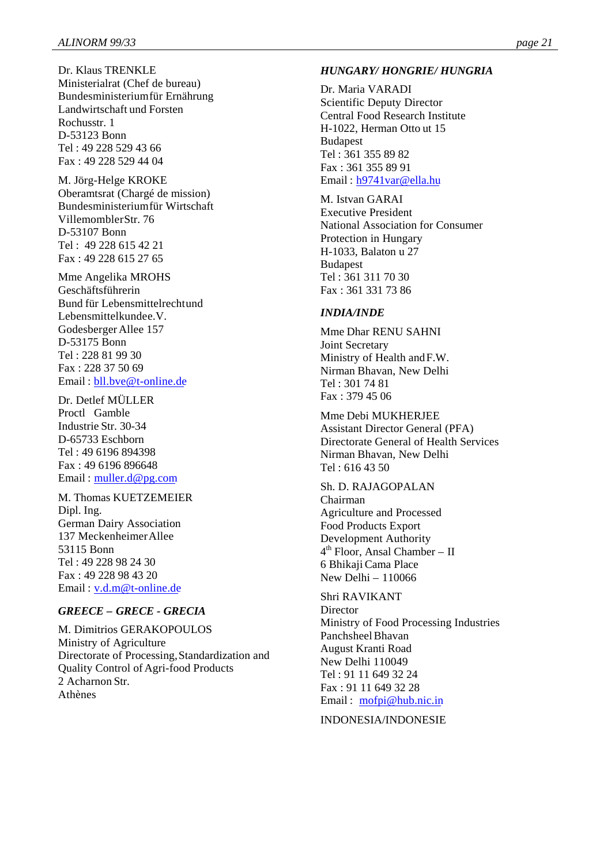Dr. Klaus TRENKLE Ministerialrat (Chef de bureau) Bundesministerium für Ernährung Landwirtschaft und Forsten Rochusstr. 1 D-53123 Bonn Tel : 49 228 529 43 66 Fax : 49 228 529 44 04

M. Jörg-Helge KROKE Oberamtsrat (Chargé de mission) Bundesministerium für Wirtschaft Villemombler Str. 76 D-53107 Bonn Tel : 49 228 615 42 21 Fax : 49 228 615 27 65

Mme Angelika MROHS Geschäftsführerin Bund für Lebensmittelrecht und Lebensmittelkundee.V. Godesberger Allee 157 D-53175 Bonn Tel : 228 81 99 30 Fax : 228 37 50 69 Email : bll.bve@t-online.de

Dr. Detlef MÜLLER Proctl Gamble Industrie Str. 30-34 D-65733 Eschborn Tel : 49 6196 894398 Fax : 49 6196 896648 Email : muller.d@pg.com

M. Thomas KUETZEMEIER Dipl. Ing. German Dairy Association 137 Meckenheimer Allee 53115 Bonn Tel : 49 228 98 24 30 Fax : 49 228 98 43 20 Email : v.d.m@t-online.de

### *GREECE – GRECE - GRECIA*

M. Dimitrios GERAKOPOULOS Ministry of Agriculture Directorate of Processing, Standardization and Quality Control of Agri-food Products 2 Acharnon Str. Athènes

#### *HUNGARY/ HONGRIE/ HUNGRIA*

Dr. Maria VARADI Scientific Deputy Director Central Food Research Institute H-1022, Herman Otto ut 15 Budapest Tel : 361 355 89 82 Fax : 361 355 89 91 Email : h9741var@ella.hu

M. Istvan GARAI Executive President National Association for Consumer Protection in Hungary H-1033, Balaton u 27 Budapest Tel : 361 311 70 30 Fax : 361 331 73 86

#### *INDIA/INDE*

Mme Dhar RENU SAHNI Joint Secretary Ministry of Health and F.W. Nirman Bhavan, New Delhi Tel : 301 74 81 Fax : 379 45 06

Mme Debi MUKHERJEE Assistant Director General (PFA) Directorate General of Health Services Nirman Bhavan, New Delhi  $Tel \cdot 6164350$ 

Sh. D. RAJAGOPALAN Chairman Agriculture and Processed Food Products Export Development Authority 4 th Floor, Ansal Chamber – II 6 Bhikaji Cama Place New Delhi – 110066

Shri RAVIKANT **Director** Ministry of Food Processing Industries Panchsheel Bhavan August Kranti Road New Delhi 110049 Tel : 91 11 649 32 24 Fax : 91 11 649 32 28 Email : mofpi@hub.nic.in

INDONESIA/INDONESIE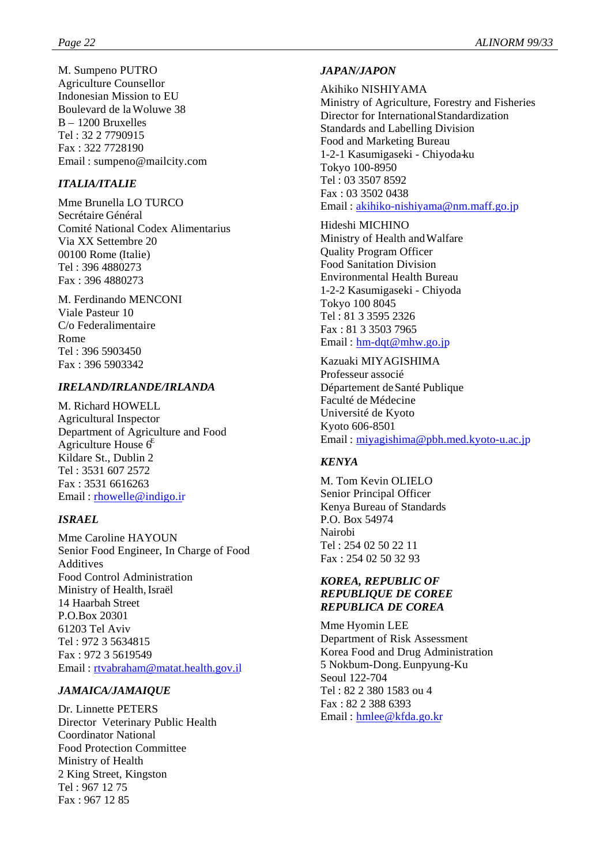M. Sumpeno PUTRO Agriculture Counsellor Indonesian Mission to EU Boulevard de la Woluwe 38 B – 1200 Bruxelles Tel : 32 2 7790915 Fax : 322 7728190 Email : sumpeno@mailcity.com

# *ITALIA/ITALIE*

Mme Brunella LO TURCO Secrétaire Général Comité National Codex Alimentarius Via XX Settembre 20 00100 Rome (Italie) Tel : 396 4880273 Fax : 396 4880273

M. Ferdinando MENCONI Viale Pasteur 10 C/o Federalimentaire Rome Tel : 396 5903450 Fax : 396 5903342

# *IRELAND/IRLANDE/IRLANDA*

M. Richard HOWELL Agricultural Inspector Department of Agriculture and Food Agriculture House  $6^E$ Kildare St., Dublin 2 Tel : 3531 607 2572 Fax : 3531 6616263 Email: rhowelle@indigo.ir

# *ISRAEL*

Mme Caroline HAYOUN Senior Food Engineer, In Charge of Food Additives Food Control Administration Ministry of Health, Israël 14 Haarbah Street P.O.Box 20301 61203 Tel Aviv Tel : 972 3 5634815 Fax : 972 3 5619549 Email : rtvabraham@matat.health.gov.il

# *JAMAICA/JAMAIQUE*

Dr. Linnette PETERS Director Veterinary Public Health Coordinator National Food Protection Committee Ministry of Health 2 King Street, Kingston Tel : 967 12 75 Fax : 967 12 85

# *JAPAN/JAPON*

Akihiko NISHIYAMA Ministry of Agriculture, Forestry and Fisheries Director for International Standardization

Standards and Labelling Division Food and Marketing Bureau 1-2-1 Kasumigaseki - Chiyoda-ku Tokyo 100-8950 Tel : 03 3507 8592 Fax : 03 3502 0438 Email : akihiko-nishiyama@nm.maff.go.jp

Hideshi MICHINO Ministry of Health and Walfare Quality Program Officer Food Sanitation Division Environmental Health Bureau 1-2-2 Kasumigaseki - Chiyoda Tokyo 100 8045 Tel : 81 3 3595 2326 Fax : 81 3 3503 7965 Email : hm-dqt@mhw.go.jp

Kazuaki MIYAGISHIMA Professeur associé Département de Santé Publique Faculté de Médecine Université de Kyoto Kyoto 606-8501 Email : miyagishima@pbh.med.kyoto-u.ac.jp

# *KENYA*

M. Tom Kevin OLIELO Senior Principal Officer Kenya Bureau of Standards P.O. Box 54974 Nairobi Tel : 254 02 50 22 11 Fax : 254 02 50 32 93

# *KOREA, REPUBLIC OF REPUBLIQUE DE COREE REPUBLICA DE COREA*

Mme Hyomin LEE Department of Risk Assessment Korea Food and Drug Administration 5 Nokbum-Dong. Eunpyung-Ku Seoul 122-704 Tel : 82 2 380 1583 ou 4 Fax : 82 2 388 6393 Email : hmlee@kfda.go.kr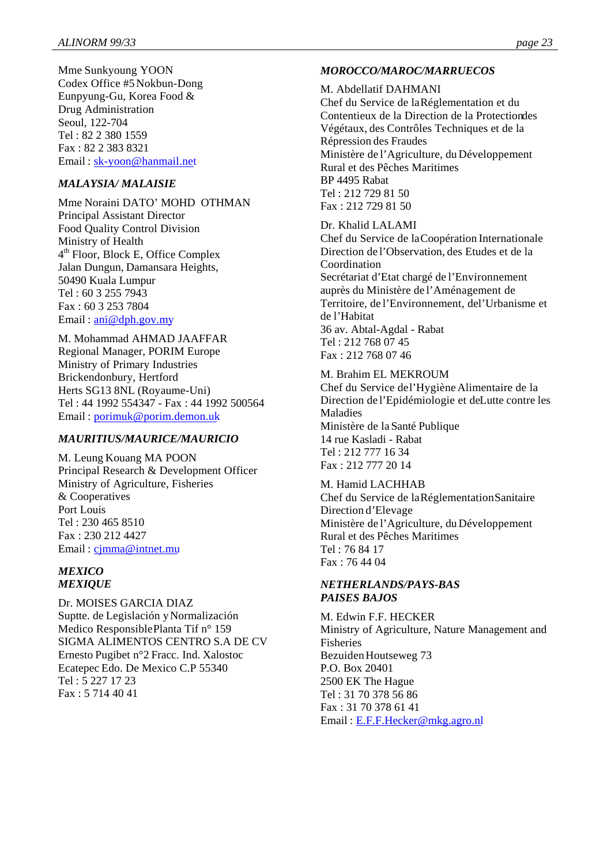Mme Sunkyoung YOON Codex Office #5 Nokbun-Dong Eunpyung-Gu, Korea Food & Drug Administration Seoul, 122-704 Tel : 82 2 380 1559 Fax : 82 2 383 8321 Email : sk-yoon@hanmail.net

# *MALAYSIA/ MALAISIE*

Mme Noraini DATO' MOHD OTHMAN Principal Assistant Director Food Quality Control Division Ministry of Health 4 th Floor, Block E, Office Complex Jalan Dungun, Damansara Heights, 50490 Kuala Lumpur Tel : 60 3 255 7943 Fax : 60 3 253 7804 Email:  $\text{ani} @ \text{dph.gov}$ .my

M. Mohammad AHMAD JAAFFAR Regional Manager, PORIM Europe Ministry of Primary Industries Brickendonbury, Hertford Herts SG13 8NL (Royaume-Uni) Tel : 44 1992 554347 - Fax : 44 1992 500564 Email : porimuk@porim.demon.uk

# *MAURITIUS/MAURICE/MAURICIO*

M. Leung Kouang MA POON Principal Research & Development Officer Ministry of Agriculture, Fisheries & Cooperatives Port Louis Tel : 230 465 8510 Fax : 230 212 4427 Email : cjmma@intnet.mu

#### *MEXICO MEXIQUE*

Dr. MOISES GARCIA DIAZ Suptte. de Legislación y Normalización Medico Responsible Planta Tif n° 159 SIGMA ALIMENTOS CENTRO S.A DE CV Ernesto Pugibet n°2 Fracc. Ind. Xalostoc Ecatepec Edo. De Mexico C.P 55340 Tel : 5 227 17 23 Fax : 5 714 40 41

# *MOROCCO/MAROC/MARRUECOS*

#### M. Abdellatif DAHMANI

Chef du Service de la Réglementation et du Contentieux de la Direction de la Protection des Végétaux, des Contrôles Techniques et de la Répression des Fraudes Ministère de l'Agriculture, du Développement Rural et des Pêches Maritimes BP 4495 Rabat Tel : 212 729 81 50 Fax : 212 729 81 50

#### Dr. Khalid LALAMI

Chef du Service de la Coopération Internationale Direction de l'Observation, des Etudes et de la Coordination Secrétariat d'Etat chargé de l'Environnement auprès du Ministère de l'Aménagement de Territoire, de l'Environnement, del'Urbanisme et de l'Habitat 36 av. Abtal-Agdal - Rabat Tel : 212 768 07 45 Fax : 212 768 07 46

# M. Brahim EL MEKROUM

Chef du Service de l'Hygiène Alimentaire de la Direction de l'Epidémiologie et de Lutte contre les Maladies Ministère de la Santé Publique 14 rue Kasladi - Rabat Tel : 212 777 16 34 Fax : 212 777 20 14

#### M. Hamid LACHHAB Chef du Service de la Réglementation Sanitaire Direction d'Elevage Ministère de l'Agriculture, du Développement Rural et des Pêches Maritimes Tel : 76 84 17 Fax : 76 44 04

#### *NETHERLANDS/PAYS-BAS PAISES BAJOS*

M. Edwin F.F. HECKER Ministry of Agriculture, Nature Management and Fisheries Bezuiden Houtseweg 73 P.O. Box 20401 2500 EK The Hague Tel : 31 70 378 56 86 Fax : 31 70 378 61 41 Email : E.F.F.Hecker@mkg.agro.nl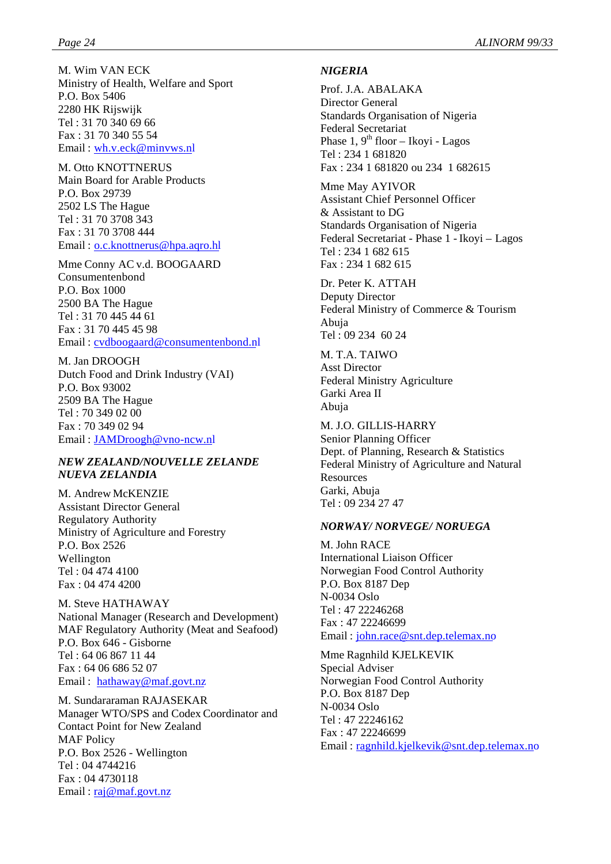M. Wim VAN ECK Ministry of Health, Welfare and Sport P.O. Box 5406 2280 HK Rijswijk Tel : 31 70 340 69 66 Fax : 31 70 340 55 54 Email : wh.v.eck@minvws.nl

M. Otto KNOTTNERUS Main Board for Arable Products P.O. Box 29739 2502 LS The Hague Tel : 31 70 3708 343 Fax : 31 70 3708 444 Email : o.c.knottnerus@hpa.aqro.hl

Mme Conny AC v.d. BOOGAARD Consumentenbond P.O. Box 1000 2500 BA The Hague Tel : 31 70 445 44 61 Fax : 31 70 445 45 98 Email : cvdboogaard@consumentenbond.nl

M. Jan DROOGH Dutch Food and Drink Industry (VAI) P.O. Box 93002 2509 BA The Hague Tel : 70 349 02 00 Fax : 70 349 02 94 Email : JAMDroogh@vno-ncw.nl

#### *NEW ZEALAND/NOUVELLE ZELANDE NUEVA ZELANDIA*

M. Andrew McKENZIE Assistant Director General Regulatory Authority Ministry of Agriculture and Forestry P.O. Box 2526 Wellington Tel : 04 474 4100 Fax : 04 474 4200

M. Steve HATHAWAY National Manager (Research and Development) MAF Regulatory Authority (Meat and Seafood) P.O. Box 646 - Gisborne Tel : 64 06 867 11 44 Fax : 64 06 686 52 07 Email : hathaway@maf.govt.nz

M. Sundararaman RAJASEKAR Manager WTO/SPS and Codex Coordinator and Contact Point for New Zealand MAF Policy P.O. Box 2526 - Wellington Tel : 04 4744216 Fax : 04 4730118 Email: <u>raj@maf.govt.nz</u>

#### *NIGERIA*

Prof. J.A. ABALAKA Director General Standards Organisation of Nigeria Federal Secretariat Phase  $1, 9^{th}$  floor – Ikoyi - Lagos Tel : 234 1 681820 Fax : 234 1 681820 ou 234 1 682615

Mme May AYIVOR Assistant Chief Personnel Officer & Assistant to DG Standards Organisation of Nigeria Federal Secretariat - Phase 1 - Ikoyi – Lagos Tel : 234 1 682 615 Fax : 234 1 682 615

Dr. Peter K. ATTAH Deputy Director Federal Ministry of Commerce & Tourism Abuja Tel : 09 234 60 24

M. T.A. TAIWO Asst Director Federal Ministry Agriculture Garki Area II Abuja

M. J.O. GILLIS-HARRY Senior Planning Officer Dept. of Planning, Research & Statistics Federal Ministry of Agriculture and Natural **Resources** Garki, Abuja Tel : 09 234 27 47

#### *NORWAY/ NORVEGE/ NORUEGA*

M. John RACE International Liaison Officer Norwegian Food Control Authority P.O. Box 8187 Dep N-0034 Oslo Tel : 47 22246268 Fax : 47 22246699 Email : john.race@snt.dep.telemax.no

Mme Ragnhild KJELKEVIK Special Adviser Norwegian Food Control Authority P.O. Box 8187 Dep N-0034 Oslo Tel : 47 22246162 Fax : 47 22246699 Email : ragnhild.kjelkevik@snt.dep.telemax.no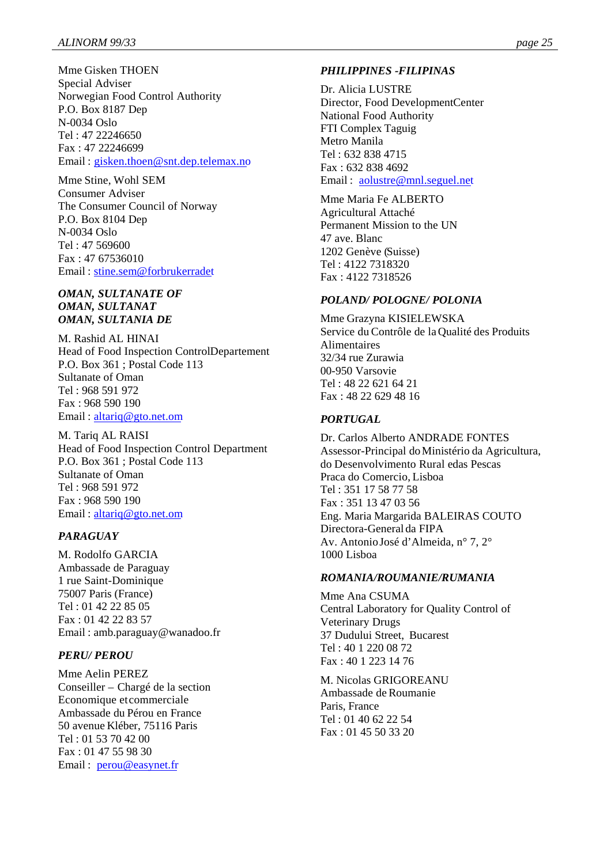Mme Gisken THOEN Special Adviser Norwegian Food Control Authority P.O. Box 8187 Dep N-0034 Oslo Tel : 47 22246650 Fax : 47 22246699 Email : gisken.thoen@snt.dep.telemax.no

Mme Stine, Wohl SEM Consumer Adviser The Consumer Council of Norway P.O. Box 8104 Dep N-0034 Oslo Tel : 47 569600 Fax : 47 67536010 Email : stine.sem@forbrukerradet

#### *OMAN, SULTANATE OF OMAN, SULTANAT OMAN, SULTANIA DE*

M. Rashid AL HINAI Head of Food Inspection Control Departement P.O. Box 361 ; Postal Code 113 Sultanate of Oman Tel : 968 591 972 Fax : 968 590 190 Email : altariq@gto.net.om

M. Tariq AL RAISI Head of Food Inspection Control Department P.O. Box 361 ; Postal Code 113 Sultanate of Oman Tel : 968 591 972 Fax : 968 590 190 Email : altariq@gto.net.om

# *PARAGUAY*

M. Rodolfo GARCIA Ambassade de Paraguay 1 rue Saint-Dominique 75007 Paris (France) Tel : 01 42 22 85 05 Fax : 01 42 22 83 57 Email : amb.paraguay@wanadoo.fr

# *PERU/ PEROU*

Mme Aelin PEREZ Conseiller – Chargé de la section Economique et commerciale Ambassade du Pérou en France 50 avenue Kléber, 75116 Paris Tel : 01 53 70 42 00 Fax : 01 47 55 98 30 Email : perou@easynet.fr

# *PHILIPPINES -FILIPINAS*

Dr. Alicia LUSTRE Director, Food Development Center National Food Authority FTI Complex Taguig Metro Manila Tel : 632 838 4715 Fax : 632 838 4692 Email : aolustre@mnl.seguel.net

Mme Maria Fe ALBERTO Agricultural Attaché Permanent Mission to the UN 47 ave. Blanc 1202 Genève (Suisse) Tel : 4122 7318320 Fax : 4122 7318526

# *POLAND/ POLOGNE/ POLONIA*

Mme Grazyna KISIELEWSKA Service du Contrôle de la Qualité des Produits Alimentaires 32/34 rue Zurawia 00-950 Varsovie Tel : 48 22 621 64 21 Fax : 48 22 629 48 16

# *PORTUGAL*

Dr. Carlos Alberto ANDRADE FONTES Assessor-Principal do Ministério da Agricultura, do Desenvolvimento Rural edas Pescas Praca do Comercio, Lisboa Tel : 351 17 58 77 58 Fax : 351 13 47 03 56 Eng. Maria Margarida BALEIRAS COUTO Directora-General da FIPA Av. Antonio José d'Almeida, n° 7, 2° 1000 Lisboa

#### *ROMANIA/ROUMANIE/RUMANIA*

Mme Ana CSUMA Central Laboratory for Quality Control of Veterinary Drugs 37 Dudului Street, Bucarest  $Tel \cdot 40$  1 220 08 72  $Fax \cdot 40$  1 223 14 76

M. Nicolas GRIGOREANU Ambassade de Roumanie Paris, France Tel : 01 40 62 22 54 Fax : 01 45 50 33 20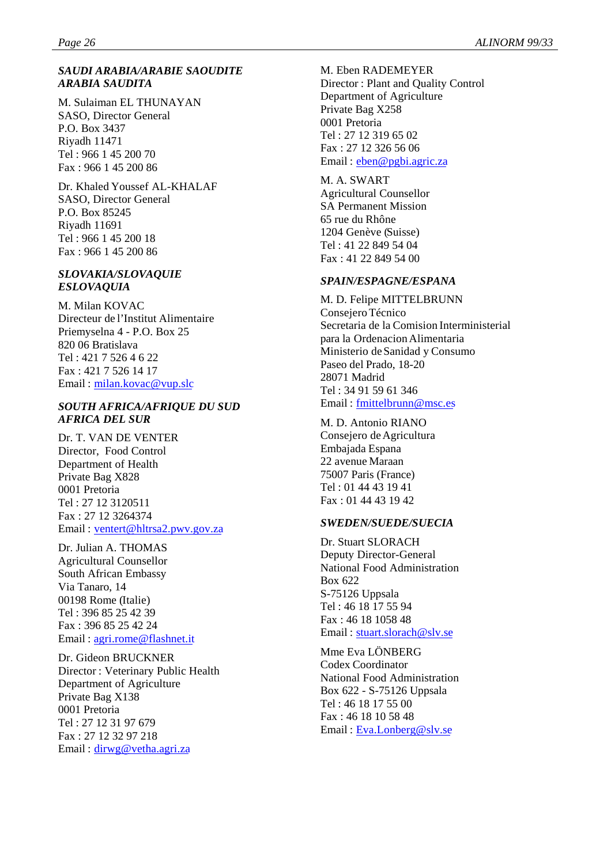#### *SAUDI ARABIA/ARABIE SAOUDITE ARABIA SAUDITA*

M. Sulaiman EL THUNAYAN SASO, Director General P.O. Box 3437 Riyadh 11471 Tel : 966 1 45 200 70 Fax : 966 1 45 200 86

Dr. Khaled Youssef AL-KHALAF SASO, Director General P.O. Box 85245 Riyadh 11691 Tel : 966 1 45 200 18 Fax : 966 1 45 200 86

#### *SLOVAKIA/SLOVAQUIE ESLOVAQUIA*

M. Milan KOVAC Directeur de l'Institut Alimentaire Priemyselna 4 - P.O. Box 25 820 06 Bratislava Tel : 421 7 526 4 6 22 Fax : 421 7 526 14 17 Email : milan.kovac@vup.slc

#### *SOUTH AFRICA/AFRIQUE DU SUD AFRICA DEL SUR*

Dr. T. VAN DE VENTER Director, Food Control Department of Health Private Bag X828 0001 Pretoria Tel : 27 12 3120511 Fax : 27 12 3264374 Email : ventert@hltrsa2.pwv.gov.za

Dr. Julian A. THOMAS Agricultural Counsellor South African Embassy Via Tanaro, 14 00198 Rome (Italie) Tel : 396 85 25 42 39 Fax : 396 85 25 42 24 Email : agri.rome@flashnet.it

Dr. Gideon BRUCKNER Director : Veterinary Public Health Department of Agriculture Private Bag X138 0001 Pretoria Tel : 27 12 31 97 679 Fax : 27 12 32 97 218 Email : dirwg@vetha.agri.za

M. Eben RADEMEYER Director : Plant and Quality Control Department of Agriculture Private Bag X258 0001 Pretoria Tel : 27 12 319 65 02 Fax : 27 12 326 56 06 Email : eben@pgbi.agric.za

M. A. SWART Agricultural Counsellor SA Permanent Mission 65 rue du Rhône 1204 Genève (Suisse) Tel : 41 22 849 54 04 Fax : 41 22 849 54 00

#### *SPAIN/ESPAGNE/ESPANA*

M. D. Felipe MITTELBRUNN Consejero Técnico Secretaria de la Comision Interministerial para la Ordenacion Alimentaria Ministerio de Sanidad y Consumo Paseo del Prado, 18-20 28071 Madrid Tel : 34 91 59 61 346 Email : fmittelbrunn@msc.es

M. D. Antonio RIANO Consejero de Agricultura Embajada Espana 22 avenue Maraan 75007 Paris (France) Tel : 01 44 43 19 41 Fax : 01 44 43 19 42

#### *SWEDEN/SUEDE/SUECIA*

Dr. Stuart SLORACH Deputy Director-General National Food Administration Box 622 S-75126 Uppsala Tel : 46 18 17 55 94 Fax : 46 18 1058 48 Email : stuart.slorach@slv.se

Mme Eva LÖNBERG Codex Coordinator National Food Administration Box 622 - S-75126 Uppsala Tel : 46 18 17 55 00 Fax : 46 18 10 58 48 Email : Eva.Lonberg@slv.se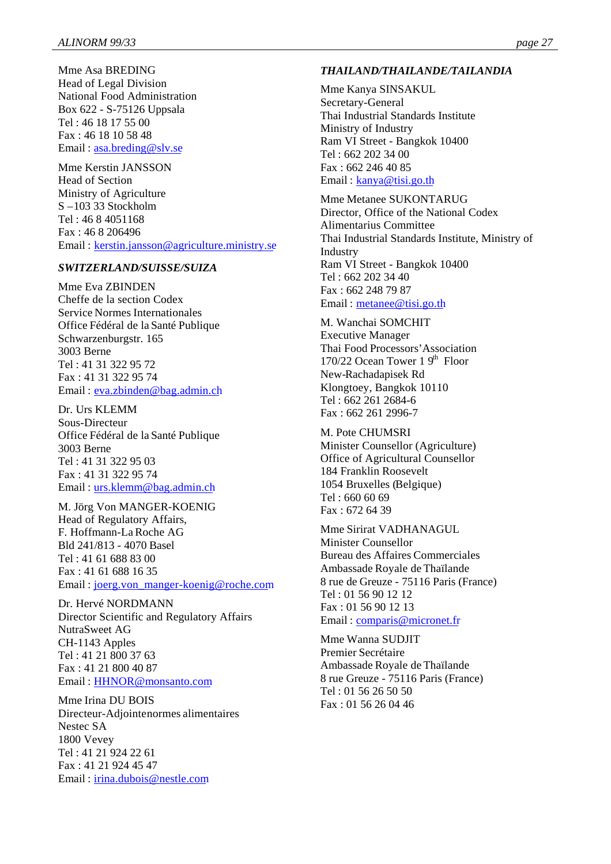Mme Asa BREDING Head of Legal Division National Food Administration Box 622 - S-75126 Uppsala Tel : 46 18 17 55 00 Fax : 46 18 10 58 48 Email : asa.breding@slv.se

Mme Kerstin JANSSON Head of Section Ministry of Agriculture S –103 33 Stockholm Tel : 46 8 4051168 Fax : 46 8 206496 Email : kerstin.jansson@agriculture.ministry.se

#### *SWITZERLAND/SUISSE/SUIZA*

Mme Eva ZBINDEN Cheffe de la section Codex Service Normes Internationales Office Fédéral de la Santé Publique Schwarzenburgstr. 165 3003 Berne Tel : 41 31 322 95 72 Fax : 41 31 322 95 74 Email: eva.zbinden@bag.admin.ch

Dr. Urs KLEMM Sous-Directeur Office Fédéral de la Santé Publique 3003 Berne Tel : 41 31 322 95 03 Fax : 41 31 322 95 74 Email : urs.klemm@bag.admin.ch

M. Jörg Von MANGER-KOENIG Head of Regulatory Affairs, F. Hoffmann-La Roche AG Bld 241/813 - 4070 Basel Tel : 41 61 688 83 00 Fax : 41 61 688 16 35 Email : joerg.von\_manger-koenig@roche.com

Dr. Hervé NORDMANN Director Scientific and Regulatory Affairs NutraSweet AG CH-1143 Apples Tel : 41 21 800 37 63 Fax : 41 21 800 40 87 Email : HHNOR@monsanto.com

Mme Irina DU BOIS Directeur-Adjointe normes alimentaires Nestec SA 1800 Vevey Tel : 41 21 924 22 61 Fax : 41 21 924 45 47 Email : irina.dubois@nestle.com

#### *THAILAND/THAILANDE/TAILANDIA*

Mme Kanya SINSAKUL Secretary-General Thai Industrial Standards Institute Ministry of Industry Ram VI Street - Bangkok 10400 Tel : 662 202 34 00 Fax : 662 246 40 85 Email : kanya@tisi.go.th

Mme Metanee SUKONTARUG Director, Office of the National Codex Alimentarius Committee Thai Industrial Standards Institute, Ministry of Industry Ram VI Street - Bangkok 10400 Tel : 662 202 34 40 Fax : 662 248 79 87 Email : metanee@tisi.go.th

M. Wanchai SOMCHIT Executive Manager Thai Food Processors'Association 170/22 Ocean Tower  $1.9<sup>th</sup>$  Floor New-Rachadapisek Rd Klongtoey, Bangkok 10110 Tel : 662 261 2684-6 Fax : 662 261 2996-7

M. Pote CHUMSRI Minister Counsellor (Agriculture) Office of Agricultural Counsellor 184 Franklin Roosevelt 1054 Bruxelles (Belgique) Tel : 660 60 69 Fax : 672 64 39

Mme Sirirat VADHANAGUL Minister Counsellor Bureau des Affaires Commerciales Ambassade Royale de Thaïlande 8 rue de Greuze - 75116 Paris (France) Tel : 01 56 90 12 12 Fax : 01 56 90 12 13 Email : comparis@micronet.fr

Mme Wanna SUDJIT Premier Secrétaire Ambassade Royale de Thaïlande 8 rue Greuze - 75116 Paris (France) Tel : 01 56 26 50 50 Fax : 01 56 26 04 46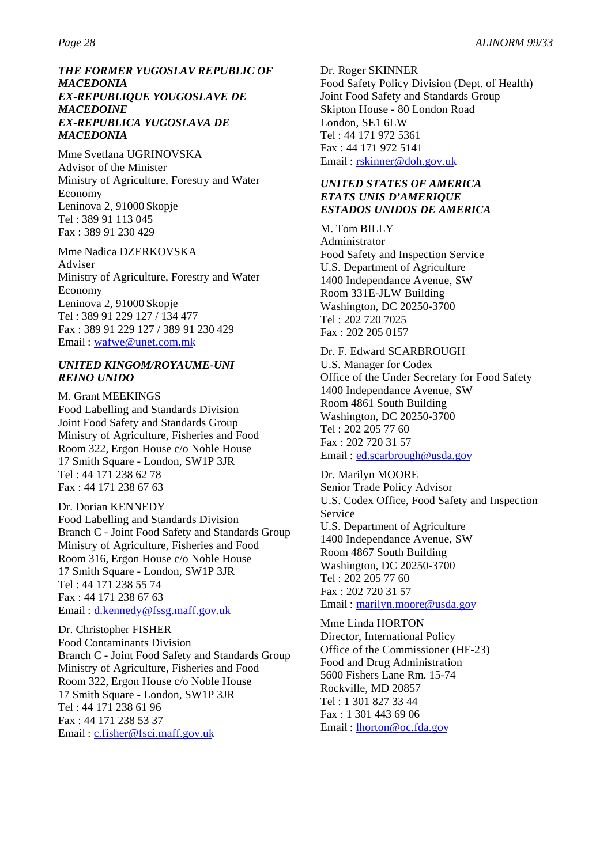#### *THE FORMER YUGOSLAV REPUBLIC OF MACEDONIA EX-REPUBLIQUE YOUGOSLAVE DE MACEDOINE EX-REPUBLICA YUGOSLAVA DE MACEDONIA*

Mme Svetlana UGRINOVSKA Advisor of the Minister Ministry of Agriculture, Forestry and Water Economy Leninova 2, 91000 Skopje Tel : 389 91 113 045 Fax : 389 91 230 429

Mme Nadica DZERKOVSKA Adviser Ministry of Agriculture, Forestry and Water Economy Leninova 2, 91000 Skopje Tel : 389 91 229 127 / 134 477 Fax : 389 91 229 127 / 389 91 230 429 Email : wafwe@unet.com.mk

#### *UNITED KINGOM/ROYAUME-UNI REINO UNIDO*

M. Grant MEEKINGS Food Labelling and Standards Division Joint Food Safety and Standards Group Ministry of Agriculture, Fisheries and Food Room 322, Ergon House c/o Noble House 17 Smith Square - London, SW1P 3JR Tel : 44 171 238 62 78 Fax : 44 171 238 67 63

Dr. Dorian KENNEDY Food Labelling and Standards Division Branch C - Joint Food Safety and Standards Group Ministry of Agriculture, Fisheries and Food Room 316, Ergon House c/o Noble House 17 Smith Square - London, SW1P 3JR Tel : 44 171 238 55 74 Fax : 44 171 238 67 63 Email : d.kennedy@fssg.maff.gov.uk

Dr. Christopher FISHER Food Contaminants Division Branch C - Joint Food Safety and Standards Group Ministry of Agriculture, Fisheries and Food Room 322, Ergon House c/o Noble House 17 Smith Square - London, SW1P 3JR Tel : 44 171 238 61 96 Fax : 44 171 238 53 37 Email : c.fisher@fsci.maff.gov.uk

Dr. Roger SKINNER Food Safety Policy Division (Dept. of Health) Joint Food Safety and Standards Group Skipton House - 80 London Road London, SE1 6LW Tel : 44 171 972 5361 Fax : 44 171 972 5141 Email : rskinner@doh.gov.uk

#### *UNITED STATES OF AMERICA ETATS UNIS D'AMERIQUE ESTADOS UNIDOS DE AMERICA*

M. Tom BILLY Administrator Food Safety and Inspection Service U.S. Department of Agriculture 1400 Independance Avenue, SW Room 331E-JLW Building Washington, DC 20250-3700 Tel : 202 720 7025 Fax : 202 205 0157

Dr. F. Edward SCARBROUGH U.S. Manager for Codex Office of the Under Secretary for Food Safety 1400 Independance Avenue, SW Room 4861 South Building Washington, DC 20250-3700 Tel : 202 205 77 60 Fax : 202 720 31 57 Email : ed.scarbrough@usda.gov

Dr. Marilyn MOORE Senior Trade Policy Advisor U.S. Codex Office, Food Safety and Inspection Service U.S. Department of Agriculture 1400 Independance Avenue, SW Room 4867 South Building Washington, DC 20250-3700 Tel : 202 205 77 60 Fax : 202 720 31 57 Email : marilyn.moore@usda.gov

Mme Linda HORTON Director, International Policy Office of the Commissioner (HF-23) Food and Drug Administration 5600 Fishers Lane Rm. 15-74 Rockville, MD 20857 Tel : 1 301 827 33 44 Fax : 1 301 443 69 06 Email : lhorton@oc.fda.gov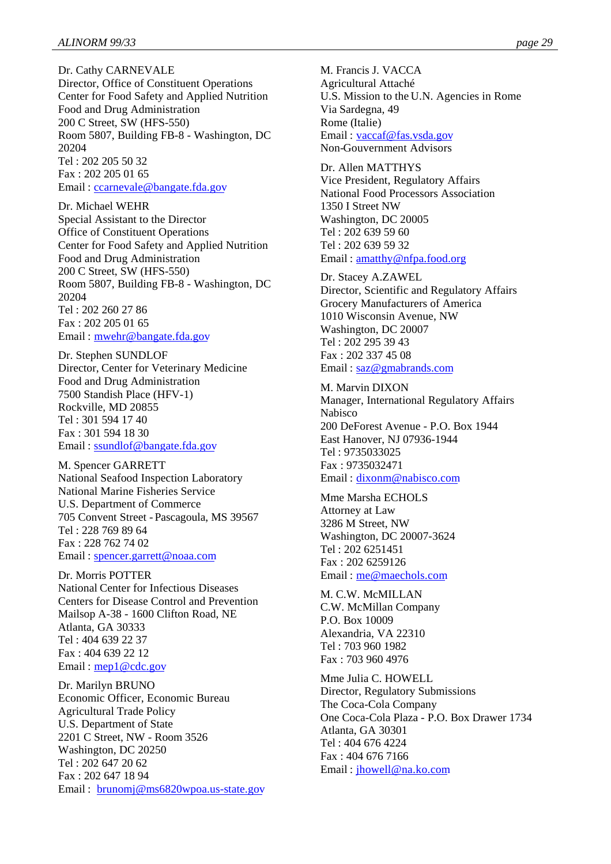Dr. Cathy CARNEVALE Director, Office of Constituent Operations Center for Food Safety and Applied Nutrition Food and Drug Administration 200 C Street, SW (HFS-550) Room 5807, Building FB-8 - Washington, DC 20204 Tel : 202 205 50 32 Fax : 202 205 01 65 Email : ccarnevale@bangate.fda.gov

Dr. Michael WEHR Special Assistant to the Director Office of Constituent Operations Center for Food Safety and Applied Nutrition Food and Drug Administration 200 C Street, SW (HFS-550) Room 5807, Building FB-8 - Washington, DC 20204 Tel : 202 260 27 86 Fax : 202 205 01 65 Email : mwehr@bangate.fda.gov

Dr. Stephen SUNDLOF Director, Center for Veterinary Medicine Food and Drug Administration 7500 Standish Place (HFV-1) Rockville, MD 20855 Tel : 301 594 17 40 Fax : 301 594 18 30 Email : ssundlof@bangate.fda.gov

M. Spencer GARRETT National Seafood Inspection Laboratory National Marine Fisheries Service U.S. Department of Commerce 705 Convent Street - Pascagoula, MS 39567 Tel : 228 769 89 64 Fax : 228 762 74 02 Email : spencer.garrett@noaa.com

Dr. Morris POTTER National Center for Infectious Diseases Centers for Disease Control and Prevention Mailsop A-38 - 1600 Clifton Road, NE Atlanta, GA 30333 Tel : 404 639 22 37 Fax : 404 639 22 12 Email: mep1@cdc.gov

Dr. Marilyn BRUNO Economic Officer, Economic Bureau Agricultural Trade Policy U.S. Department of State 2201 C Street, NW - Room 3526 Washington, DC 20250 Tel : 202 647 20 62 Fax : 202 647 18 94 Email : brunomj@ms6820wpoa.us-state.gov M. Francis J. VACCA Agricultural Attaché U.S. Mission to the U.N. Agencies in Rome Via Sardegna, 49 Rome (Italie) Email : vaccaf@fas.vsda.gov Non-Gouvernment Advisors

Dr. Allen MATTHYS Vice President, Regulatory Affairs National Food Processors Association 1350 I Street NW Washington, DC 20005 Tel : 202 639 59 60 Tel : 202 639 59 32 Email: <u>amatthy@nfpa.food.org</u>

Dr. Stacey A.ZAWEL Director, Scientific and Regulatory Affairs Grocery Manufacturers of America 1010 Wisconsin Avenue, NW Washington, DC 20007 Tel : 202 295 39 43 Fax : 202 337 45 08 Email : saz@gmabrands.com

M. Marvin DIXON Manager, International Regulatory Affairs Nabisco 200 DeForest Avenue - P.O. Box 1944 East Hanover, NJ 07936-1944 Tel : 9735033025 Fax : 9735032471 Email : dixonm@nabisco.com

Mme Marsha ECHOLS Attorney at Law 3286 M Street, NW Washington, DC 20007-3624 Tel : 202 6251451 Fax : 202 6259126 Email: <u>me@maechols.com</u>

M. C.W. McMILLAN C.W. McMillan Company P.O. Box 10009 Alexandria, VA 22310 Tel : 703 960 1982 Fax : 703 960 4976

Mme Julia C. HOWELL Director, Regulatory Submissions The Coca-Cola Company One Coca-Cola Plaza - P.O. Box Drawer 1734 Atlanta, GA 30301 Tel : 404 676 4224 Fax : 404 676 7166 Email : jhowell@na.ko.com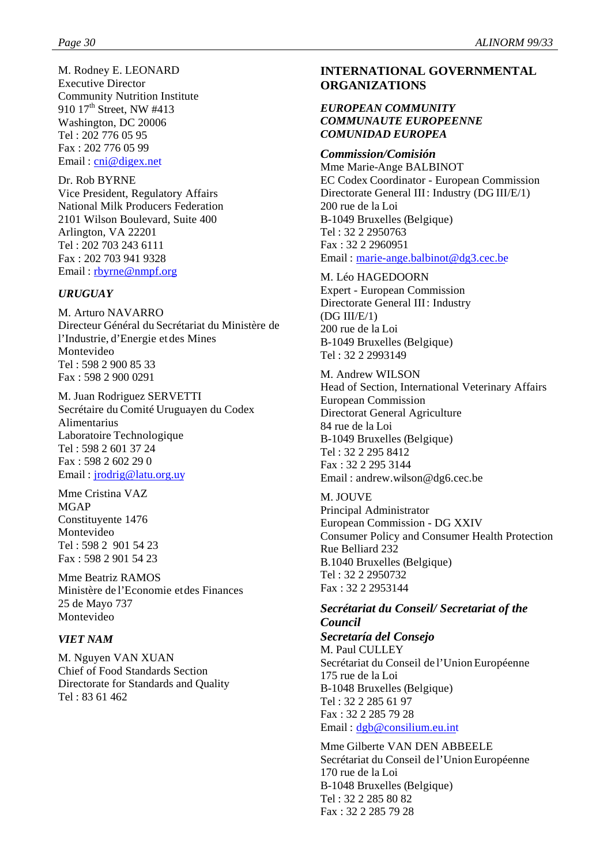M. Rodney E. LEONARD Executive Director Community Nutrition Institute 910 17<sup>th</sup> Street, NW #413 Washington, DC 20006 Tel : 202 776 05 95 Fax : 202 776 05 99 Email: cni@digex.net

Dr. Rob BYRNE Vice President, Regulatory Affairs National Milk Producers Federation 2101 Wilson Boulevard, Suite 400 Arlington, VA 22201 Tel : 202 703 243 6111 Fax : 202 703 941 9328 Email : rbyrne@nmpf.org

#### *URUGUAY*

M. Arturo NAVARRO Directeur Général du Secrétariat du Ministère de l'Industrie, d'Energie et des Mines Montevideo Tel : 598 2 900 85 33 Fax : 598 2 900 0291

M. Juan Rodriguez SERVETTI Secrétaire du Comité Uruguayen du Codex Alimentarius Laboratoire Technologique Tel : 598 2 601 37 24 Fax : 598 2 602 29 0 Email:  $jrodrig@latu.org.uy$ 

Mme Cristina VAZ MGAP Constituyente 1476 Montevideo Tel : 598 2 901 54 23 Fax : 598 2 901 54 23

Mme Beatriz RAMOS Ministère de l'Economie et des Finances 25 de Mayo 737 Montevideo

#### *VIET NAM*

M. Nguyen VAN XUAN Chief of Food Standards Section Directorate for Standards and Quality Tel : 83 61 462

# **INTERNATIONAL GOVERNMENTAL ORGANIZATIONS**

#### *EUROPEAN COMMUNITY COMMUNAUTE EUROPEENNE COMUNIDAD EUROPEA*

#### *Commission/Comisión*

Mme Marie-Ange BALBINOT EC Codex Coordinator - European Commission Directorate General III: Industry (DG III/E/1) 200 rue de la Loi B-1049 Bruxelles (Belgique) Tel : 32 2 2950763 Fax : 32 2 2960951 Email : marie-ange.balbinot@dg3.cec.be

#### M. Léo HAGEDOORN

Expert - European Commission Directorate General III : Industry (DG III/E/1) 200 rue de la Loi B-1049 Bruxelles (Belgique) Tel : 32 2 2993149

M. Andrew WILSON Head of Section, International Veterinary Affairs European Commission Directorat General Agriculture 84 rue de la Loi B-1049 Bruxelles (Belgique) Tel : 32 2 295 8412 Fax : 32 2 295 3144 Email : andrew.wilson@dg6.cec.be

M. JOUVE Principal Administrator European Commission - DG XXIV Consumer Policy and Consumer Health Protection Rue Belliard 232 B.1040 Bruxelles (Belgique) Tel : 32 2 2950732 Fax : 32 2 2953144

# *Secrétariat du Conseil/ Secretariat of the Council*

*Secretaría del Consejo* M. Paul CULLEY Secrétariat du Conseil de l'Union Européenne 175 rue de la Loi B-1048 Bruxelles (Belgique) Tel : 32 2 285 61 97 Fax : 32 2 285 79 28 Email : dgb@consilium.eu.int

Mme Gilberte VAN DEN ABBEELE Secrétariat du Conseil de l'Union Européenne 170 rue de la Loi B-1048 Bruxelles (Belgique) Tel : 32 2 285 80 82 Fax : 32 2 285 79 28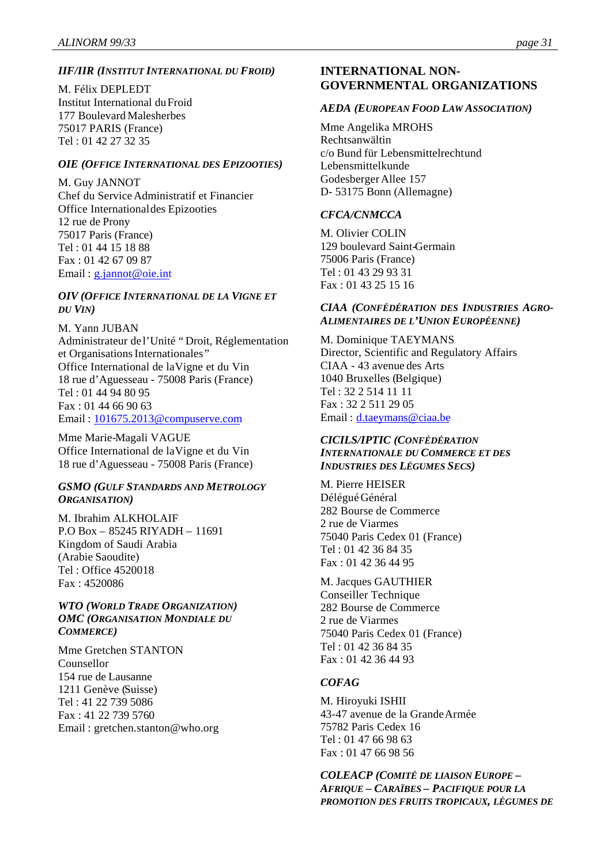#### *IIF/IIR (INSTITUT INTERNATIONAL DU FROID)*

M. Félix DEPLEDT Institut International du Froid 177 Boulevard Malesherbes 75017 PARIS (France) Tel : 01 42 27 32 35

#### *OIE (OFFICE INTERNATIONAL DES EPIZOOTIES)*

M. Guy JANNOT Chef du Service Administratif et Financier Office International des Epizooties 12 rue de Prony 75017 Paris (France) Tel : 01 44 15 18 88 Fax : 01 42 67 09 87 Email: g.jannot@oie.int

#### *OIV (OFFICE INTERNATIONAL DE LA VIGNE ET DU VIN)*

M. Yann JUBAN Administrateur de l'Unité "Droit, Réglementation et Organisations Internationales " Office International de la Vigne et du Vin 18 rue d'Aguesseau - 75008 Paris (France) Tel : 01 44 94 80 95 Fax : 01 44 66 90 63 Email : 101675.2013@compuserve.com

Mme Marie-Magali VAGUE Office International de la Vigne et du Vin 18 rue d'Aguesseau - 75008 Paris (France)

#### *GSMO (GULF STANDARDS AND METROLOGY ORGANISATION)*

M. Ibrahim ALKHOLAIF P.O Box – 85245 RIYADH – 11691 Kingdom of Saudi Arabia (Arabie Saoudite) Tel : Office 4520018 Fax : 4520086

#### *WTO (WORLD TRADE ORGANIZATION) OMC (ORGANISATION MONDIALE DU COMMERCE)*

Mme Gretchen STANTON Counsellor 154 rue de Lausanne 1211 Genève (Suisse) Tel : 41 22 739 5086 Fax : 41 22 739 5760 Email : gretchen.stanton@who.org

# **INTERNATIONAL NON-GOVERNMENTAL ORGANIZATIONS**

#### *AEDA (EUROPEAN FOOD LAW ASSOCIATION)*

Mme Angelika MROHS Rechtsanwältin c/o Bund für Lebensmittelrecht und Lebensmittelkunde Godesberger Allee 157 D- 53175 Bonn (Allemagne)

#### *CFCA/CNMCCA*

M. Olivier COLIN 129 boulevard Saint-Germain 75006 Paris (France) Tel : 01 43 29 93 31 Fax : 01 43 25 15 16

#### *CIAA (CONFÉDÉRATION DES INDUSTRIES AGRO-ALIMENTAIRES DE L'UNION EUROPÉENNE)*

M. Dominique TAEYMANS Director, Scientific and Regulatory Affairs CIAA - 43 avenue des Arts 1040 Bruxelles (Belgique) Tel : 32 2 514 11 11 Fax : 32 2 511 29 05 Email : d.taeymans@ciaa.be

#### *CICILS/IPTIC (CONFÉDÉRATION INTERNATIONALE DU COMMERCE ET DES INDUSTRIES DES LÉGUMES SECS)*

M. Pierre HEISER Délégué Général 282 Bourse de Commerce 2 rue de Viarmes 75040 Paris Cedex 01 (France) Tel : 01 42 36 84 35 Fax : 01 42 36 44 95

M. Jacques GAUTHIER Conseiller Technique 282 Bourse de Commerce 2 rue de Viarmes 75040 Paris Cedex 01 (France) Tel : 01 42 36 84 35 Fax : 01 42 36 44 93

#### *COFAG*

M. Hiroyuki ISHII 43-47 avenue de la Grande Armée 75782 Paris Cedex 16 Tel : 01 47 66 98 63 Fax : 01 47 66 98 56

*COLEACP (COMITÉ DE LIAISON EUROPE – AFRIQUE – CARAÏBES – PACIFIQUE POUR LA PROMOTION DES FRUITS TROPICAUX, LÉGUMES DE*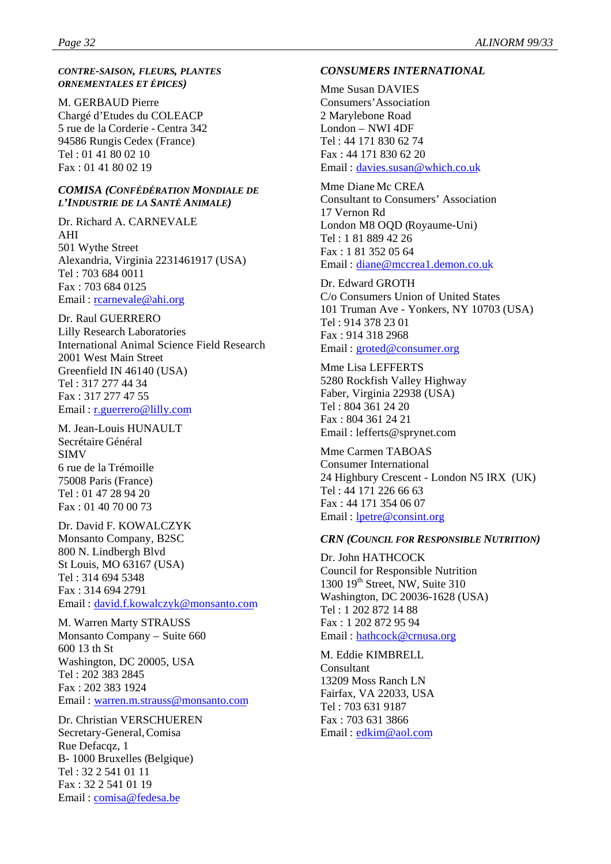#### *CONTRE-SAISON, FLEURS, PLANTES ORNEMENTALES ET ÉPICES)*

M. GERBAUD Pierre Chargé d'Etudes du COLEACP 5 rue de la Corderie - Centra 342 94586 Rungis Cedex (France) Tel : 01 41 80 02 10 Fax : 01 41 80 02 19

#### *COMISA (CONFÉDÉRATION MONDIALE DE L'INDUSTRIE DE LA SANTÉ ANIMALE)*

Dr. Richard A. CARNEVALE AHI 501 Wythe Street Alexandria, Virginia 2231461917 (USA) Tel : 703 684 0011 Fax : 703 684 0125 Email : rcarnevale@ahi.org

Dr. Raul GUERRERO Lilly Research Laboratories International Animal Science Field Research 2001 West Main Street Greenfield IN 46140 (USA) Tel : 317 277 44 34 Fax : 317 277 47 55 Email : r.guerrero@lilly.com

M. Jean-Louis HUNAULT Secrétaire Général SIMV 6 rue de la Trémoille 75008 Paris (France) Tel : 01 47 28 94 20 Fax : 01 40 70 00 73

Dr. David F. KOWALCZYK Monsanto Company, B2SC 800 N. Lindbergh Blvd St Louis, MO 63167 (USA) Tel : 314 694 5348 Fax : 314 694 2791 Email : david.f.kowalczyk@monsanto.com

M. Warren Marty STRAUSS Monsanto Company – Suite 660 600 13 th St Washington, DC 20005, USA Tel : 202 383 2845 Fax : 202 383 1924 Email : warren.m.strauss@monsanto.com

Dr. Christian VERSCHUEREN Secretary-General, Comisa Rue Defacqz, 1 B- 1000 Bruxelles (Belgique) Tel : 32 2 541 01 11 Fax : 32 2 541 01 19 Email : comisa@fedesa.be

#### *CONSUMERS INTERNATIONAL*

Mme Susan DAVIES Consumers'Association 2 Marylebone Road London – NWI 4DF Tel : 44 171 830 62 74 Fax : 44 171 830 62 20 Email : davies.susan@which.co.uk

Mme Diane Mc CREA Consultant to Consumers' Association 17 Vernon Rd London M8 OQD (Royaume-Uni) Tel : 1 81 889 42 26 Fax : 1 81 352 05 64 Email : diane@mccrea1.demon.co.uk

Dr. Edward GROTH C/o Consumers Union of United States 101 Truman Ave - Yonkers, NY 10703 (USA) Tel : 914 378 23 01 Fax : 914 318 2968 Email : groted@consumer.org

Mme Lisa LEFFERTS 5280 Rockfish Valley Highway Faber, Virginia 22938 (USA) Tel : 804 361 24 20 Fax : 804 361 24 21 Email : lefferts@sprynet.com

Mme Carmen TABOAS Consumer International 24 Highbury Crescent - London N5 IRX (UK) Tel : 44 171 226 66 63 Fax : 44 171 354 06 07 Email : lpetre@consint.org

#### *CRN (COUNCIL FOR RESPONSIBLE NUTRITION)*

Dr. John HATHCOCK Council for Responsible Nutrition 1300  $19<sup>th</sup>$  Street, NW, Suite 310 Washington, DC 20036-1628 (USA) Tel : 1 202 872 14 88 Fax : 1 202 872 95 94 Email : hathcock@crnusa.org

M. Eddie KIMBRELL Consultant 13209 Moss Ranch LN Fairfax, VA 22033, USA Tel : 703 631 9187 Fax : 703 631 3866 Email: edkim@aol.com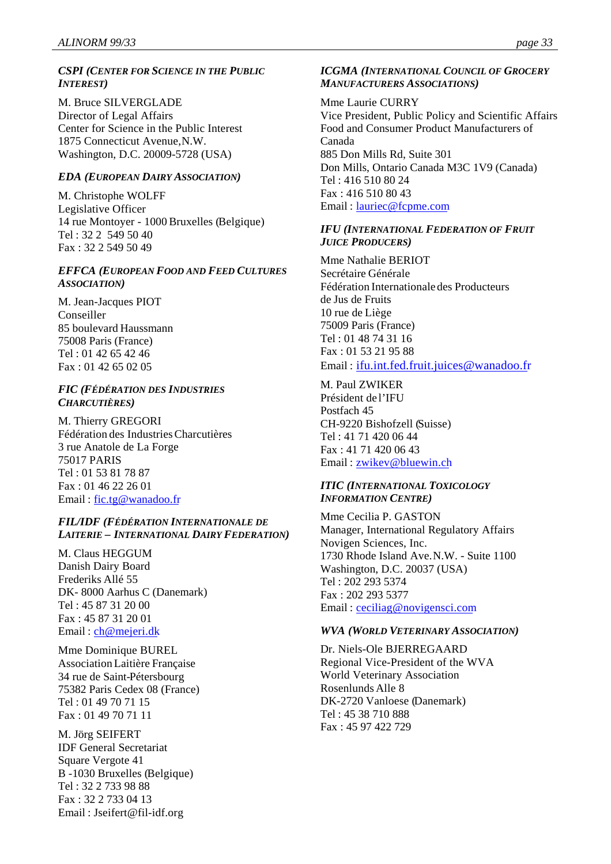#### *CSPI (CENTER FOR SCIENCE IN THE PUBLIC INTEREST)*

M. Bruce SILVERGLADE Director of Legal Affairs Center for Science in the Public Interest 1875 Connecticut Avenue, N.W. Washington, D.C. 20009-5728 (USA)

### *EDA (EUROPEAN DAIRY ASSOCIATION)*

M. Christophe WOLFF Legislative Officer 14 rue Montoyer - 1000 Bruxelles (Belgique) Tel : 32 2 549 50 40 Fax : 32 2 549 50 49

#### *EFFCA (EUROPEAN FOOD AND FEED CULTURES ASSOCIATION)*

M. Jean-Jacques PIOT Conseiller 85 boulevard Haussmann 75008 Paris (France) Tel : 01 42 65 42 46 Fax : 01 42 65 02 05

#### *FIC (FÉDÉRATION DES INDUSTRIES CHARCUTIÈRES)*

M. Thierry GREGORI Fédération des Industries Charcutières 3 rue Anatole de La Forge 75017 PARIS Tel : 01 53 81 78 87 Fax : 01 46 22 26 01 Email: fic.tg@wanadoo.fr

#### *FIL/IDF (FÉDÉRATION INTERNATIONALE DE LAITERIE – INTERNATIONAL DAIRY FEDERATION)*

M. Claus HEGGUM Danish Dairy Board Frederiks Allé 55 DK- 8000 Aarhus C (Danemark) Tel : 45 87 31 20 00 Fax : 45 87 31 20 01 Email : ch@mejeri.dk

Mme Dominique BUREL Association Laitière Française 34 rue de Saint-Pétersbourg 75382 Paris Cedex 08 (France) Tel : 01 49 70 71 15 Fax : 01 49 70 71 11

M. Jörg SEIFERT IDF General Secretariat Square Vergote 41 B -1030 Bruxelles (Belgique) Tel : 32 2 733 98 88 Fax : 32 2 733 04 13 Email : Jseifert@fil-idf.org

# *ICGMA (INTERNATIONAL COUNCIL OF GROCERY MANUFACTURERS ASSOCIATIONS)*

#### Mme Laurie CURRY

Vice President, Public Policy and Scientific Affairs Food and Consumer Product Manufacturers of Canada 885 Don Mills Rd, Suite 301 Don Mills, Ontario Canada M3C 1V9 (Canada) Tel : 416 510 80 24 Fax : 416 510 80 43 Email : lauriec@fcpme.com

#### *IFU (INTERNATIONAL FEDERATION OF FRUIT JUICE PRODUCERS)*

Mme Nathalie BERIOT Secrétaire Générale Fédération Internationale des Producteurs de Jus de Fruits 10 rue de Liège 75009 Paris (France) Tel : 01 48 74 31 16 Fax : 01 53 21 95 88 Email : ifu.int.fed.fruit.juices@wanadoo.fr

M. Paul ZWIKER Président de l'IFU Postfach 45 CH-9220 Bishofzell (Suisse) Tel : 41 71 420 06 44 Fax : 41 71 420 06 43 Email : zwikev@bluewin.ch

#### *ITIC (INTERNATIONAL TOXICOLOGY INFORMATION CENTRE)*

Mme Cecilia P. GASTON Manager, International Regulatory Affairs Novigen Sciences, Inc. 1730 Rhode Island Ave. N.W. - Suite 1100 Washington, D.C. 20037 (USA) Tel : 202 293 5374 Fax : 202 293 5377 Email : ceciliag@novigensci.com

#### *WVA (WORLD VETERINARY ASSOCIATION)*

Dr. Niels-Ole BJERREGAARD Regional Vice-President of the WVA World Veterinary Association Rosenlunds Alle 8 DK-2720 Vanloese (Danemark) Tel : 45 38 710 888 Fax : 45 97 422 729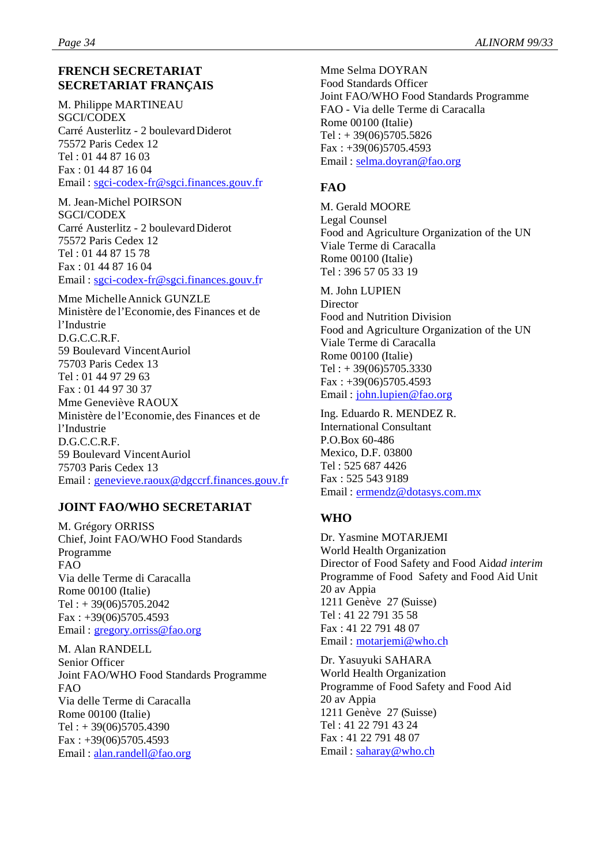# **FRENCH SECRETARIAT SECRETARIAT FRANÇAIS**

M. Philippe MARTINEAU SGCI/CODEX Carré Austerlitz - 2 boulevard Diderot 75572 Paris Cedex 12 Tel : 01 44 87 16 03 Fax : 01 44 87 16 04 Email : sgci-codex-fr@sgci.finances.gouv.fr

M. Jean-Michel POIRSON SGCI/CODEX Carré Austerlitz - 2 boulevard Diderot 75572 Paris Cedex 12 Tel : 01 44 87 15 78 Fax : 01 44 87 16 04 Email : sgci-codex-fr@sgci.finances.gouv.fr

Mme Michelle Annick GUNZLE Ministère de l'Economie, des Finances et de l'Industrie D.G.C.C.R.F. 59 Boulevard Vincent Auriol 75703 Paris Cedex 13 Tel : 01 44 97 29 63 Fax : 01 44 97 30 37 Mme Geneviève RAOUX Ministère de l'Economie, des Finances et de l'Industrie D.G.C.C.R.F. 59 Boulevard Vincent Auriol 75703 Paris Cedex 13 Email : genevieve.raoux@dgccrf.finances.gouv.fr

# **JOINT FAO/WHO SECRETARIAT**

M. Grégory ORRISS Chief, Joint FAO/WHO Food Standards Programme FAO Via delle Terme di Caracalla Rome 00100 (Italie)  $Tel: +39(06)5705.2042$ Fax : +39(06)5705.4593 Email: gregory.orriss@fao.org

M. Alan RANDELL Senior Officer Joint FAO/WHO Food Standards Programme FAO Via delle Terme di Caracalla Rome 00100 (Italie) Tel : + 39(06)5705.4390 Fax : +39(06)5705.4593 Email : alan.randell@fao.org

Mme Selma DOYRAN Food Standards Officer Joint FAO/WHO Food Standards Programme FAO - Via delle Terme di Caracalla Rome 00100 (Italie)  $Tel: + 39(06)5705.5826$ Fax : +39(06)5705.4593 Email : selma.doyran@fao.org

# **FAO**

M. Gerald MOORE Legal Counsel Food and Agriculture Organization of the UN Viale Terme di Caracalla Rome 00100 (Italie) Tel : 396 57 05 33 19

M. John LUPIEN **Director** Food and Nutrition Division Food and Agriculture Organization of the UN Viale Terme di Caracalla Rome 00100 (Italie)  $Tel: + 39(06)5705.3330$  $Fax: +39(06)5705.4593$ Email : john.lupien@fao.org

Ing. Eduardo R. MENDEZ R. International Consultant P.O.Box 60-486 Mexico, D.F. 03800 Tel : 525 687 4426 Fax : 525 543 9189 Email : ermendz@dotasys.com.mx

# **WHO**

Dr. Yasmine MOTARJEMI World Health Organization Director of Food Safety and Food Aidad interim Programme of Food Safety and Food Aid Unit 20 av Appia 1211 Genève 27 (Suisse) Tel : 41 22 791 35 58 Fax : 41 22 791 48 07 Email : motarjemi@who.ch

Dr. Yasuyuki SAHARA World Health Organization Programme of Food Safety and Food Aid 20 av Appia 1211 Genève 27 (Suisse) Tel : 41 22 791 43 24 Fax : 41 22 791 48 07 Email : saharay@who.ch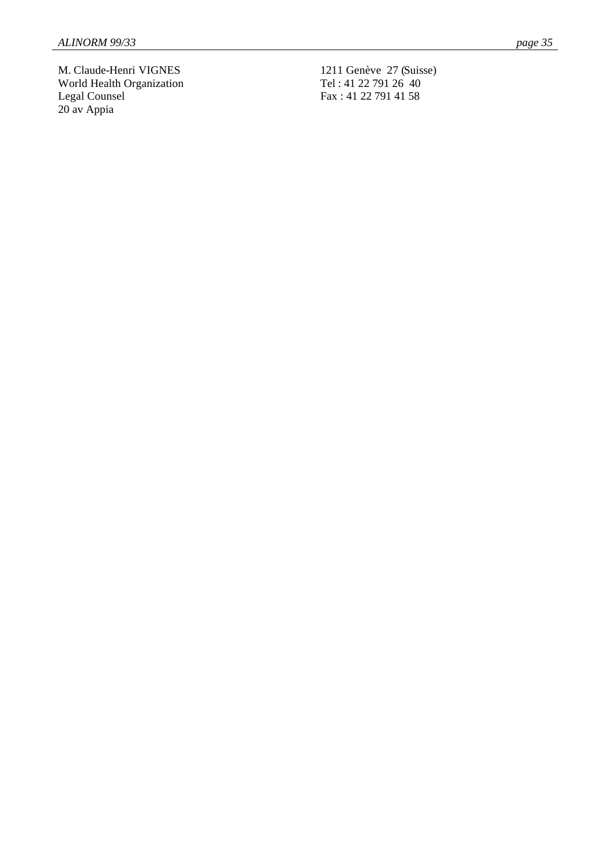M. Claude-Henri VIGNES World Health Organization Legal Counsel 20 av Appia

1211 Genève 27 (Suisse) Tel : 41 22 791 26 40 Fax : 41 22 791 41 58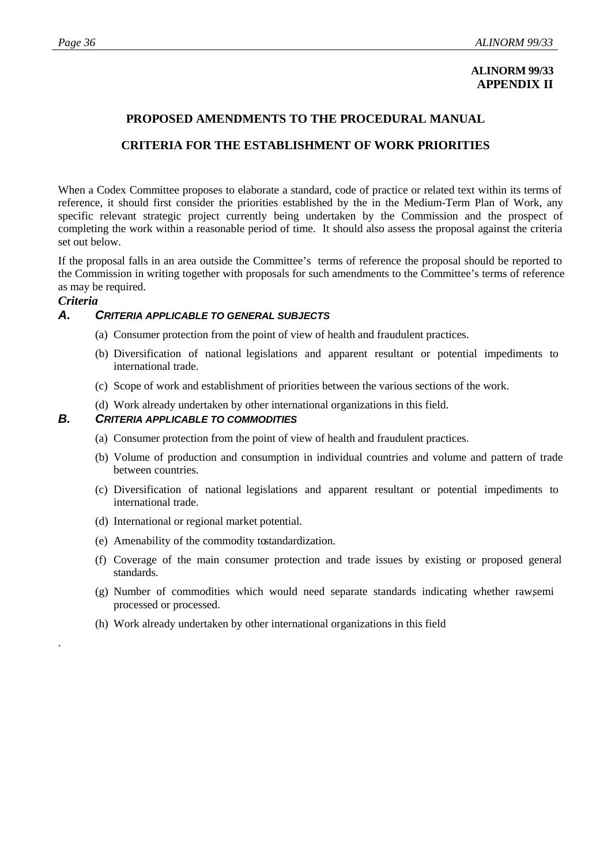# **ALINORM 99/33 APPENDIX II**

# **PROPOSED AMENDMENTS TO THE PROCEDURAL MANUAL**

# **CRITERIA FOR THE ESTABLISHMENT OF WORK PRIORITIES**

When a Codex Committee proposes to elaborate a standard, code of practice or related text within its terms of reference, it should first consider the priorities established by the in the Medium-Term Plan of Work, any specific relevant strategic project currently being undertaken by the Commission and the prospect of completing the work within a reasonable period of time. It should also assess the proposal against the criteria set out below.

If the proposal falls in an area outside the Committee's terms of reference the proposal should be reported to the Commission in writing together with proposals for such amendments to the Committee's terms of reference as may be required.

# *Criteria*

.

# *A. CRITERIA APPLICABLE TO GENERAL SUBJECTS*

- (a) Consumer protection from the point of view of health and fraudulent practices.
- (b) Diversification of national legislations and apparent resultant or potential impediments to international trade.
- (c) Scope of work and establishment of priorities between the various sections of the work.
- (d) Work already undertaken by other international organizations in this field.

#### *B. CRITERIA APPLICABLE TO COMMODITIES*

- (a) Consumer protection from the point of view of health and fraudulent practices.
- (b) Volume of production and consumption in individual countries and volume and pattern of trade between countries.
- (c) Diversification of national legislations and apparent resultant or potential impediments to international trade.
- (d) International or regional market potential.
- (e) Amenability of the commodity to standardization.
- (f) Coverage of the main consumer protection and trade issues by existing or proposed general standards.
- (g) Number of commodities which would need separate standards indicating whether raw,semi processed or processed.
- (h) Work already undertaken by other international organizations in this field